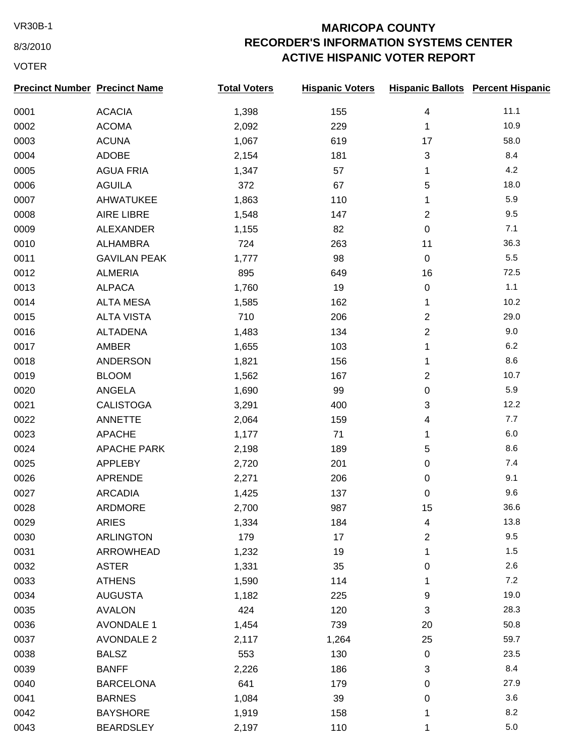8/3/2010

## VOTER

## VR30B-1 **MARICOPA COUNTY RECORDER'S INFORMATION SYSTEMS CENTER ACTIVE HISPANIC VOTER REPORT**

| <b>Precinct Number Precinct Name</b> |                     | <b>Total Voters</b> | <b>Hispanic Voters</b> |                | <b>Hispanic Ballots Percent Hispanic</b> |
|--------------------------------------|---------------------|---------------------|------------------------|----------------|------------------------------------------|
| 0001                                 | <b>ACACIA</b>       | 1,398               | 155                    | 4              | 11.1                                     |
| 0002                                 | <b>ACOMA</b>        | 2,092               | 229                    | 1              | 10.9                                     |
| 0003                                 | <b>ACUNA</b>        | 1,067               | 619                    | 17             | 58.0                                     |
| 0004                                 | ADOBE               | 2,154               | 181                    | 3              | 8.4                                      |
| 0005                                 | <b>AGUA FRIA</b>    | 1,347               | 57                     | 1              | 4.2                                      |
| 0006                                 | <b>AGUILA</b>       | 372                 | 67                     | 5              | 18.0                                     |
| 0007                                 | AHWATUKEE           | 1,863               | 110                    | 1              | 5.9                                      |
| 0008                                 | <b>AIRE LIBRE</b>   | 1,548               | 147                    | $\overline{2}$ | 9.5                                      |
| 0009                                 | <b>ALEXANDER</b>    | 1,155               | 82                     | $\mathbf 0$    | 7.1                                      |
| 0010                                 | ALHAMBRA            | 724                 | 263                    | 11             | 36.3                                     |
| 0011                                 | <b>GAVILAN PEAK</b> | 1,777               | 98                     | $\mathbf 0$    | 5.5                                      |
| 0012                                 | <b>ALMERIA</b>      | 895                 | 649                    | 16             | 72.5                                     |
| 0013                                 | <b>ALPACA</b>       | 1,760               | 19                     | $\mathbf 0$    | 1.1                                      |
| 0014                                 | <b>ALTA MESA</b>    | 1,585               | 162                    | 1              | 10.2                                     |
| 0015                                 | <b>ALTA VISTA</b>   | 710                 | 206                    | $\overline{2}$ | 29.0                                     |
| 0016                                 | <b>ALTADENA</b>     | 1,483               | 134                    | $\mathbf{2}$   | 9.0                                      |
| 0017                                 | AMBER               | 1,655               | 103                    | 1              | 6.2                                      |
| 0018                                 | <b>ANDERSON</b>     | 1,821               | 156                    | 1              | 8.6                                      |
| 0019                                 | <b>BLOOM</b>        | 1,562               | 167                    | $\overline{2}$ | 10.7                                     |
| 0020                                 | ANGELA              | 1,690               | 99                     | $\mathbf 0$    | 5.9                                      |
| 0021                                 | <b>CALISTOGA</b>    | 3,291               | 400                    | 3              | 12.2                                     |
| 0022                                 | ANNETTE             | 2,064               | 159                    | $\overline{4}$ | 7.7                                      |
| 0023                                 | <b>APACHE</b>       | 1,177               | 71                     | 1              | 6.0                                      |
| 0024                                 | <b>APACHE PARK</b>  | 2,198               | 189                    | 5              | 8.6                                      |
| 0025                                 | <b>APPLEBY</b>      | 2,720               | 201                    | 0              | 7.4                                      |
| 0026                                 | APRENDE             | 2,271               | 206                    | 0              | 9.1                                      |
| 0027                                 | <b>ARCADIA</b>      | 1,425               | 137                    | 0              | 9.6                                      |
| 0028                                 | ARDMORE             | 2,700               | 987                    | 15             | 36.6                                     |
| 0029                                 | <b>ARIES</b>        | 1,334               | 184                    | 4              | 13.8                                     |
| 0030                                 | <b>ARLINGTON</b>    | 179                 | 17                     | $\mathbf{2}$   | 9.5                                      |
| 0031                                 | ARROWHEAD           | 1,232               | 19                     | 1              | 1.5                                      |
| 0032                                 | <b>ASTER</b>        | 1,331               | 35                     | $\mathbf 0$    | 2.6                                      |
| 0033                                 | <b>ATHENS</b>       | 1,590               | 114                    | 1              | 7.2                                      |
| 0034                                 | <b>AUGUSTA</b>      | 1,182               | 225                    | 9              | 19.0                                     |
| 0035                                 | <b>AVALON</b>       | 424                 | 120                    | 3              | 28.3                                     |
| 0036                                 | <b>AVONDALE 1</b>   | 1,454               | 739                    | 20             | 50.8                                     |
| 0037                                 | <b>AVONDALE 2</b>   | 2,117               | 1,264                  | 25             | 59.7                                     |
| 0038                                 | <b>BALSZ</b>        | 553                 | 130                    | $\pmb{0}$      | 23.5                                     |
| 0039                                 | <b>BANFF</b>        | 2,226               | 186                    | 3              | 8.4                                      |
| 0040                                 | <b>BARCELONA</b>    | 641                 | 179                    | $\pmb{0}$      | 27.9                                     |
| 0041                                 | <b>BARNES</b>       | 1,084               | 39                     | 0              | 3.6                                      |
| 0042                                 | <b>BAYSHORE</b>     | 1,919               | 158                    | 1              | 8.2                                      |
| 0043                                 | <b>BEARDSLEY</b>    | 2,197               | 110                    | 1              | $5.0\,$                                  |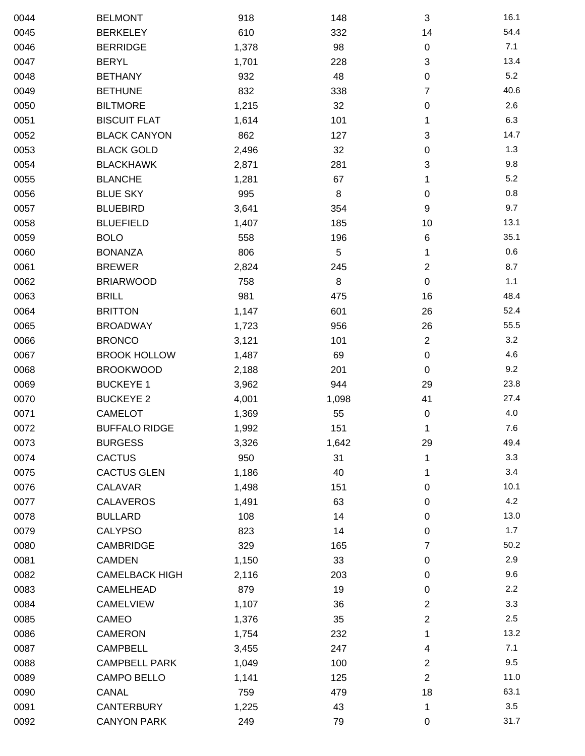| 0044 | <b>BELMONT</b>        | 918   | 148   | $\sqrt{3}$                | 16.1 |
|------|-----------------------|-------|-------|---------------------------|------|
| 0045 | <b>BERKELEY</b>       | 610   | 332   | 14                        | 54.4 |
| 0046 | <b>BERRIDGE</b>       | 1,378 | 98    | $\pmb{0}$                 | 7.1  |
| 0047 | <b>BERYL</b>          | 1,701 | 228   | $\ensuremath{\mathsf{3}}$ | 13.4 |
| 0048 | <b>BETHANY</b>        | 932   | 48    | 0                         | 5.2  |
| 0049 | <b>BETHUNE</b>        | 832   | 338   | 7                         | 40.6 |
| 0050 | <b>BILTMORE</b>       | 1,215 | 32    | 0                         | 2.6  |
| 0051 | <b>BISCUIT FLAT</b>   | 1,614 | 101   | 1                         | 6.3  |
| 0052 | <b>BLACK CANYON</b>   | 862   | 127   | $\ensuremath{\mathsf{3}}$ | 14.7 |
| 0053 | <b>BLACK GOLD</b>     | 2,496 | 32    | 0                         | 1.3  |
| 0054 | <b>BLACKHAWK</b>      | 2,871 | 281   | 3                         | 9.8  |
| 0055 | <b>BLANCHE</b>        | 1,281 | 67    | 1                         | 5.2  |
| 0056 | <b>BLUE SKY</b>       | 995   | 8     | $\pmb{0}$                 | 0.8  |
| 0057 | <b>BLUEBIRD</b>       | 3,641 | 354   | 9                         | 9.7  |
| 0058 | <b>BLUEFIELD</b>      | 1,407 | 185   | 10                        | 13.1 |
| 0059 | <b>BOLO</b>           | 558   | 196   | 6                         | 35.1 |
| 0060 | <b>BONANZA</b>        | 806   | 5     | 1                         | 0.6  |
| 0061 | <b>BREWER</b>         | 2,824 | 245   | $\overline{2}$            | 8.7  |
| 0062 | <b>BRIARWOOD</b>      | 758   | 8     | $\pmb{0}$                 | 1.1  |
| 0063 | <b>BRILL</b>          | 981   | 475   | 16                        | 48.4 |
| 0064 | <b>BRITTON</b>        | 1,147 | 601   | 26                        | 52.4 |
| 0065 | <b>BROADWAY</b>       | 1,723 | 956   | 26                        | 55.5 |
| 0066 | <b>BRONCO</b>         | 3,121 | 101   | $\boldsymbol{2}$          | 3.2  |
| 0067 | <b>BROOK HOLLOW</b>   | 1,487 | 69    | $\pmb{0}$                 | 4.6  |
| 0068 | <b>BROOKWOOD</b>      | 2,188 | 201   | $\pmb{0}$                 | 9.2  |
| 0069 | <b>BUCKEYE 1</b>      | 3,962 | 944   | 29                        | 23.8 |
| 0070 | <b>BUCKEYE 2</b>      | 4,001 | 1,098 | 41                        | 27.4 |
| 0071 | <b>CAMELOT</b>        | 1,369 | 55    | $\pmb{0}$                 | 4.0  |
| 0072 | <b>BUFFALO RIDGE</b>  | 1,992 | 151   | 1                         | 7.6  |
| 0073 | <b>BURGESS</b>        | 3,326 | 1,642 | 29                        | 49.4 |
| 0074 | <b>CACTUS</b>         | 950   | 31    | 1                         | 3.3  |
| 0075 | <b>CACTUS GLEN</b>    | 1,186 | 40    | 1                         | 3.4  |
| 0076 | CALAVAR               | 1,498 | 151   | $\pmb{0}$                 | 10.1 |
| 0077 | <b>CALAVEROS</b>      | 1,491 | 63    | 0                         | 4.2  |
| 0078 | <b>BULLARD</b>        | 108   | 14    | 0                         | 13.0 |
| 0079 | <b>CALYPSO</b>        | 823   | 14    | $\pmb{0}$                 | 1.7  |
| 0080 | <b>CAMBRIDGE</b>      | 329   | 165   | 7                         | 50.2 |
| 0081 | <b>CAMDEN</b>         | 1,150 | 33    | $\pmb{0}$                 | 2.9  |
| 0082 | <b>CAMELBACK HIGH</b> | 2,116 | 203   | $\pmb{0}$                 | 9.6  |
| 0083 | CAMELHEAD             | 879   | 19    | 0                         | 2.2  |
| 0084 | <b>CAMELVIEW</b>      | 1,107 | 36    | $\overline{2}$            | 3.3  |
| 0085 | CAMEO                 | 1,376 | 35    | $\boldsymbol{2}$          | 2.5  |
| 0086 | <b>CAMERON</b>        | 1,754 | 232   | 1                         | 13.2 |
| 0087 | <b>CAMPBELL</b>       | 3,455 | 247   | 4                         | 7.1  |
| 0088 | <b>CAMPBELL PARK</b>  | 1,049 | 100   | $\overline{2}$            | 9.5  |
| 0089 | <b>CAMPO BELLO</b>    | 1,141 | 125   | $\overline{2}$            | 11.0 |
| 0090 | CANAL                 | 759   | 479   | 18                        | 63.1 |
| 0091 | <b>CANTERBURY</b>     | 1,225 | 43    | 1                         | 3.5  |
| 0092 | <b>CANYON PARK</b>    | 249   | 79    | $\pmb{0}$                 | 31.7 |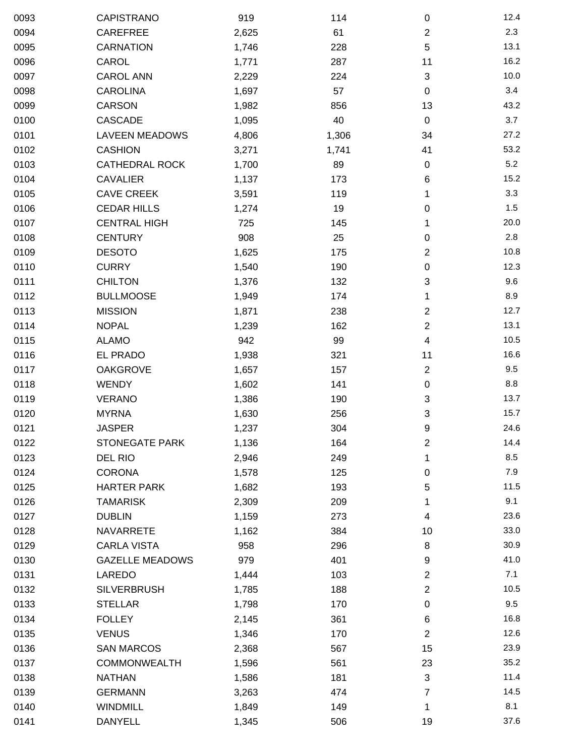| 0093 | CAPISTRANO             | 919   | 114   | $\pmb{0}$                 | 12.4 |
|------|------------------------|-------|-------|---------------------------|------|
| 0094 | CAREFREE               | 2,625 | 61    | $\mathbf{2}$              | 2.3  |
| 0095 | <b>CARNATION</b>       | 1,746 | 228   | 5                         | 13.1 |
| 0096 | CAROL                  | 1,771 | 287   | 11                        | 16.2 |
| 0097 | <b>CAROL ANN</b>       | 2,229 | 224   | $\sqrt{3}$                | 10.0 |
| 0098 | <b>CAROLINA</b>        | 1,697 | 57    | $\pmb{0}$                 | 3.4  |
| 0099 | CARSON                 | 1,982 | 856   | 13                        | 43.2 |
| 0100 | CASCADE                | 1,095 | 40    | $\mathbf 0$               | 3.7  |
| 0101 | <b>LAVEEN MEADOWS</b>  | 4,806 | 1,306 | 34                        | 27.2 |
| 0102 | <b>CASHION</b>         | 3,271 | 1,741 | 41                        | 53.2 |
| 0103 | <b>CATHEDRAL ROCK</b>  | 1,700 | 89    | $\pmb{0}$                 | 5.2  |
| 0104 | <b>CAVALIER</b>        | 1,137 | 173   | 6                         | 15.2 |
| 0105 | <b>CAVE CREEK</b>      | 3,591 | 119   | 1                         | 3.3  |
| 0106 | <b>CEDAR HILLS</b>     | 1,274 | 19    | $\pmb{0}$                 | 1.5  |
| 0107 | <b>CENTRAL HIGH</b>    | 725   | 145   | 1                         | 20.0 |
| 0108 | <b>CENTURY</b>         | 908   | 25    | $\pmb{0}$                 | 2.8  |
| 0109 | <b>DESOTO</b>          | 1,625 | 175   | $\overline{c}$            | 10.8 |
| 0110 | <b>CURRY</b>           | 1,540 | 190   | $\pmb{0}$                 | 12.3 |
| 0111 | <b>CHILTON</b>         | 1,376 | 132   | 3                         | 9.6  |
| 0112 | <b>BULLMOOSE</b>       | 1,949 | 174   | 1                         | 8.9  |
| 0113 | <b>MISSION</b>         | 1,871 | 238   | $\overline{c}$            | 12.7 |
| 0114 | <b>NOPAL</b>           | 1,239 | 162   | $\overline{2}$            | 13.1 |
| 0115 | <b>ALAMO</b>           | 942   | 99    | 4                         | 10.5 |
| 0116 | EL PRADO               | 1,938 | 321   | 11                        | 16.6 |
| 0117 | <b>OAKGROVE</b>        | 1,657 | 157   | $\boldsymbol{2}$          | 9.5  |
| 0118 | <b>WENDY</b>           | 1,602 | 141   | $\pmb{0}$                 | 8.8  |
| 0119 | VERANO                 | 1,386 | 190   | $\ensuremath{\mathsf{3}}$ | 13.7 |
| 0120 | <b>MYRNA</b>           | 1,630 | 256   | 3                         | 15.7 |
| 0121 | <b>JASPER</b>          | 1,237 | 304   | $\boldsymbol{9}$          | 24.6 |
| 0122 | <b>STONEGATE PARK</b>  | 1,136 | 164   | $\overline{\mathbf{c}}$   | 14.4 |
| 0123 | DEL RIO                | 2,946 | 249   | 1                         | 8.5  |
| 0124 | <b>CORONA</b>          | 1,578 | 125   | $\pmb{0}$                 | 7.9  |
| 0125 | <b>HARTER PARK</b>     | 1,682 | 193   | 5                         | 11.5 |
| 0126 | <b>TAMARISK</b>        | 2,309 | 209   | 1                         | 9.1  |
| 0127 | <b>DUBLIN</b>          | 1,159 | 273   | 4                         | 23.6 |
| 0128 | <b>NAVARRETE</b>       | 1,162 | 384   | 10                        | 33.0 |
| 0129 | <b>CARLA VISTA</b>     | 958   | 296   | 8                         | 30.9 |
| 0130 | <b>GAZELLE MEADOWS</b> | 979   | 401   | 9                         | 41.0 |
| 0131 | LAREDO                 | 1,444 | 103   | $\overline{2}$            | 7.1  |
| 0132 | <b>SILVERBRUSH</b>     | 1,785 | 188   | $\boldsymbol{2}$          | 10.5 |
| 0133 | <b>STELLAR</b>         | 1,798 | 170   | $\pmb{0}$                 | 9.5  |
| 0134 | <b>FOLLEY</b>          | 2,145 | 361   | 6                         | 16.8 |
| 0135 | <b>VENUS</b>           | 1,346 | 170   | $\boldsymbol{2}$          | 12.6 |
| 0136 | <b>SAN MARCOS</b>      | 2,368 | 567   | 15                        | 23.9 |
| 0137 | COMMONWEALTH           | 1,596 | 561   | 23                        | 35.2 |
| 0138 | <b>NATHAN</b>          | 1,586 | 181   | 3                         | 11.4 |
| 0139 | <b>GERMANN</b>         | 3,263 | 474   | 7                         | 14.5 |
| 0140 | <b>WINDMILL</b>        | 1,849 | 149   | 1                         | 8.1  |
| 0141 | DANYELL                | 1,345 | 506   | 19                        | 37.6 |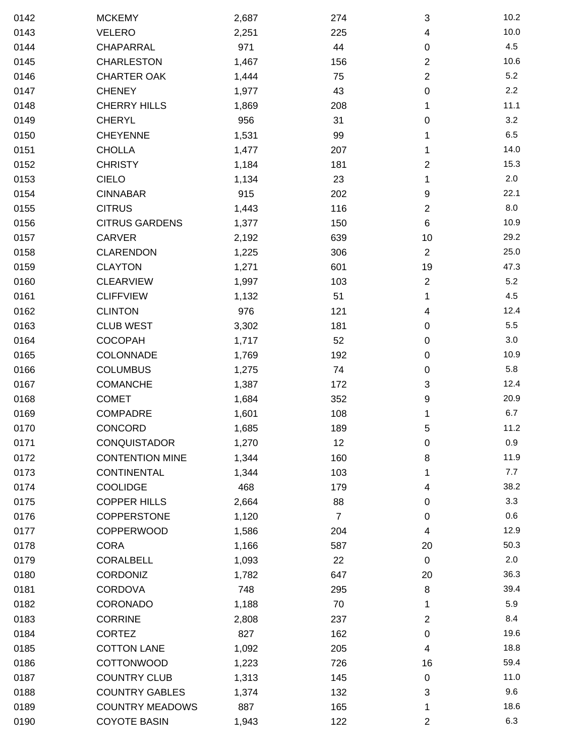| 0142 | <b>MCKEMY</b>          | 2,687 | 274            | $\sqrt{3}$       | 10.2 |
|------|------------------------|-------|----------------|------------------|------|
| 0143 | <b>VELERO</b>          | 2,251 | 225            | 4                | 10.0 |
| 0144 | <b>CHAPARRAL</b>       | 971   | 44             | $\pmb{0}$        | 4.5  |
| 0145 | <b>CHARLESTON</b>      | 1,467 | 156            | $\mathbf{2}$     | 10.6 |
| 0146 | <b>CHARTER OAK</b>     | 1,444 | 75             | $\boldsymbol{2}$ | 5.2  |
| 0147 | <b>CHENEY</b>          | 1,977 | 43             | $\pmb{0}$        | 2.2  |
| 0148 | <b>CHERRY HILLS</b>    | 1,869 | 208            | 1                | 11.1 |
| 0149 | <b>CHERYL</b>          | 956   | 31             | 0                | 3.2  |
| 0150 | <b>CHEYENNE</b>        | 1,531 | 99             | 1                | 6.5  |
| 0151 | <b>CHOLLA</b>          | 1,477 | 207            | 1                | 14.0 |
| 0152 | <b>CHRISTY</b>         | 1,184 | 181            | $\overline{2}$   | 15.3 |
| 0153 | <b>CIELO</b>           | 1,134 | 23             | 1                | 2.0  |
| 0154 | <b>CINNABAR</b>        | 915   | 202            | 9                | 22.1 |
| 0155 | <b>CITRUS</b>          | 1,443 | 116            | $\overline{2}$   | 8.0  |
| 0156 | <b>CITRUS GARDENS</b>  | 1,377 | 150            | 6                | 10.9 |
| 0157 | CARVER                 | 2,192 | 639            | 10               | 29.2 |
| 0158 | <b>CLARENDON</b>       | 1,225 | 306            | $\overline{2}$   | 25.0 |
| 0159 | <b>CLAYTON</b>         | 1,271 | 601            | 19               | 47.3 |
| 0160 | <b>CLEARVIEW</b>       | 1,997 | 103            | $\mathbf{2}$     | 5.2  |
| 0161 | <b>CLIFFVIEW</b>       | 1,132 | 51             | 1                | 4.5  |
| 0162 | <b>CLINTON</b>         | 976   | 121            | 4                | 12.4 |
| 0163 | <b>CLUB WEST</b>       | 3,302 | 181            | $\pmb{0}$        | 5.5  |
| 0164 | COCOPAH                | 1,717 | 52             | $\pmb{0}$        | 3.0  |
| 0165 | COLONNADE              | 1,769 | 192            | $\pmb{0}$        | 10.9 |
| 0166 | <b>COLUMBUS</b>        | 1,275 | 74             | $\pmb{0}$        | 5.8  |
| 0167 | <b>COMANCHE</b>        | 1,387 | 172            | 3                | 12.4 |
| 0168 | <b>COMET</b>           | 1,684 | 352            | 9                | 20.9 |
| 0169 | <b>COMPADRE</b>        | 1,601 | 108            | 1                | 6.7  |
| 0170 | CONCORD                | 1,685 | 189            | 5                | 11.2 |
| 0171 | <b>CONQUISTADOR</b>    | 1,270 | 12             | $\pmb{0}$        | 0.9  |
| 0172 | <b>CONTENTION MINE</b> | 1,344 | 160            | 8                | 11.9 |
| 0173 | <b>CONTINENTAL</b>     | 1,344 | 103            | 1                | 7.7  |
| 0174 | <b>COOLIDGE</b>        | 468   | 179            | 4                | 38.2 |
| 0175 | <b>COPPER HILLS</b>    | 2,664 | 88             | 0                | 3.3  |
| 0176 | COPPERSTONE            | 1,120 | $\overline{7}$ | $\pmb{0}$        | 0.6  |
| 0177 | <b>COPPERWOOD</b>      | 1,586 | 204            | 4                | 12.9 |
| 0178 | <b>CORA</b>            | 1,166 | 587            | 20               | 50.3 |
| 0179 | CORALBELL              | 1,093 | 22             | $\mathbf 0$      | 2.0  |
| 0180 | <b>CORDONIZ</b>        | 1,782 | 647            | 20               | 36.3 |
| 0181 | <b>CORDOVA</b>         | 748   | 295            | 8                | 39.4 |
| 0182 | CORONADO               | 1,188 | 70             | 1                | 5.9  |
| 0183 | <b>CORRINE</b>         | 2,808 | 237            | $\overline{2}$   | 8.4  |
| 0184 | <b>CORTEZ</b>          | 827   | 162            | $\pmb{0}$        | 19.6 |
| 0185 | <b>COTTON LANE</b>     | 1,092 | 205            | 4                | 18.8 |
| 0186 | <b>COTTONWOOD</b>      | 1,223 | 726            | 16               | 59.4 |
| 0187 | <b>COUNTRY CLUB</b>    | 1,313 | 145            | 0                | 11.0 |
| 0188 | <b>COUNTRY GABLES</b>  | 1,374 | 132            | 3                | 9.6  |
| 0189 | <b>COUNTRY MEADOWS</b> | 887   | 165            | 1                | 18.6 |
| 0190 | <b>COYOTE BASIN</b>    | 1,943 | 122            | $\overline{c}$   | 6.3  |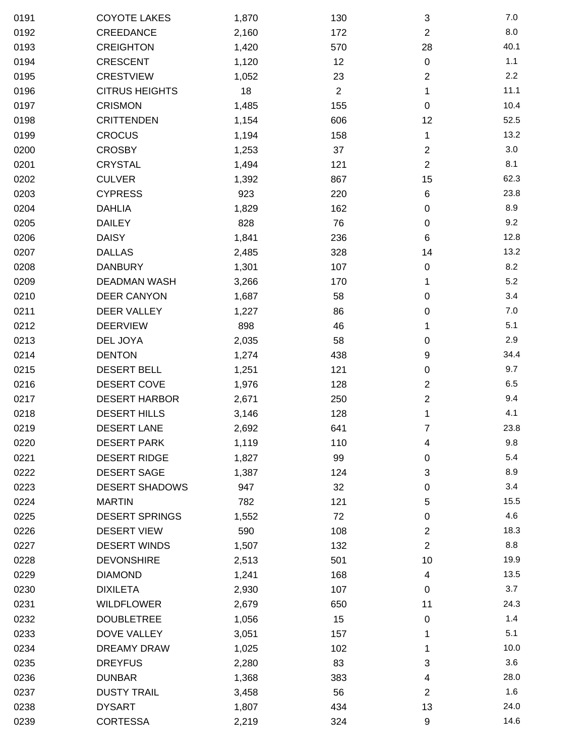| 0191 | <b>COYOTE LAKES</b>   | 1,870 | 130            | 3              | 7.0  |
|------|-----------------------|-------|----------------|----------------|------|
| 0192 | CREEDANCE             | 2,160 | 172            | $\overline{2}$ | 8.0  |
| 0193 | <b>CREIGHTON</b>      | 1,420 | 570            | 28             | 40.1 |
| 0194 | <b>CRESCENT</b>       | 1,120 | 12             | 0              | 1.1  |
| 0195 | <b>CRESTVIEW</b>      | 1,052 | 23             | $\overline{2}$ | 2.2  |
| 0196 | <b>CITRUS HEIGHTS</b> | 18    | $\overline{2}$ | 1              | 11.1 |
| 0197 | <b>CRISMON</b>        | 1,485 | 155            | 0              | 10.4 |
| 0198 | <b>CRITTENDEN</b>     | 1,154 | 606            | 12             | 52.5 |
| 0199 | <b>CROCUS</b>         | 1,194 | 158            | 1              | 13.2 |
| 0200 | <b>CROSBY</b>         | 1,253 | 37             | $\overline{c}$ | 3.0  |
| 0201 | <b>CRYSTAL</b>        | 1,494 | 121            | $\overline{2}$ | 8.1  |
| 0202 | <b>CULVER</b>         | 1,392 | 867            | 15             | 62.3 |
| 0203 | <b>CYPRESS</b>        | 923   | 220            | 6              | 23.8 |
| 0204 | <b>DAHLIA</b>         | 1,829 | 162            | 0              | 8.9  |
| 0205 | <b>DAILEY</b>         | 828   | 76             | 0              | 9.2  |
| 0206 | <b>DAISY</b>          | 1,841 | 236            | 6              | 12.8 |
| 0207 | <b>DALLAS</b>         | 2,485 | 328            | 14             | 13.2 |
| 0208 | <b>DANBURY</b>        | 1,301 | 107            | 0              | 8.2  |
| 0209 | <b>DEADMAN WASH</b>   | 3,266 | 170            | 1              | 5.2  |
| 0210 | <b>DEER CANYON</b>    | 1,687 | 58             | 0              | 3.4  |
| 0211 | DEER VALLEY           | 1,227 | 86             | 0              | 7.0  |
| 0212 | <b>DEERVIEW</b>       | 898   | 46             | 1              | 5.1  |
| 0213 | DEL JOYA              | 2,035 | 58             | 0              | 2.9  |
| 0214 | <b>DENTON</b>         | 1,274 | 438            | 9              | 34.4 |
| 0215 | <b>DESERT BELL</b>    | 1,251 | 121            | $\pmb{0}$      | 9.7  |
| 0216 | DESERT COVE           | 1,976 | 128            | $\overline{c}$ | 6.5  |
| 0217 | <b>DESERT HARBOR</b>  | 2,671 | 250            | $\overline{c}$ | 9.4  |
| 0218 | <b>DESERT HILLS</b>   | 3,146 | 128            | 1              | 4.1  |
| 0219 | <b>DESERT LANE</b>    | 2,692 | 641            | 7              | 23.8 |
| 0220 | <b>DESERT PARK</b>    | 1,119 | 110            | 4              | 9.8  |
| 0221 | <b>DESERT RIDGE</b>   | 1,827 | 99             | 0              | 5.4  |
| 0222 | <b>DESERT SAGE</b>    | 1,387 | 124            | 3              | 8.9  |
| 0223 | <b>DESERT SHADOWS</b> | 947   | 32             | 0              | 3.4  |
| 0224 | <b>MARTIN</b>         | 782   | 121            | 5              | 15.5 |
| 0225 | <b>DESERT SPRINGS</b> | 1,552 | 72             | 0              | 4.6  |
| 0226 | <b>DESERT VIEW</b>    | 590   | 108            | $\overline{c}$ | 18.3 |
| 0227 | <b>DESERT WINDS</b>   | 1,507 | 132            | $\overline{2}$ | 8.8  |
| 0228 | <b>DEVONSHIRE</b>     | 2,513 | 501            | 10             | 19.9 |
| 0229 | <b>DIAMOND</b>        | 1,241 | 168            | 4              | 13.5 |
| 0230 | <b>DIXILETA</b>       | 2,930 | 107            | 0              | 3.7  |
| 0231 | <b>WILDFLOWER</b>     | 2,679 | 650            | 11             | 24.3 |
| 0232 | <b>DOUBLETREE</b>     | 1,056 | 15             | 0              | 1.4  |
| 0233 | DOVE VALLEY           | 3,051 | 157            | 1              | 5.1  |
| 0234 | <b>DREAMY DRAW</b>    | 1,025 | 102            | 1              | 10.0 |
| 0235 | <b>DREYFUS</b>        | 2,280 | 83             | 3              | 3.6  |
| 0236 | <b>DUNBAR</b>         | 1,368 | 383            | 4              | 28.0 |
| 0237 | <b>DUSTY TRAIL</b>    | 3,458 | 56             | $\overline{2}$ | 1.6  |
| 0238 | <b>DYSART</b>         | 1,807 | 434            | 13             | 24.0 |
| 0239 | <b>CORTESSA</b>       | 2,219 | 324            | 9              | 14.6 |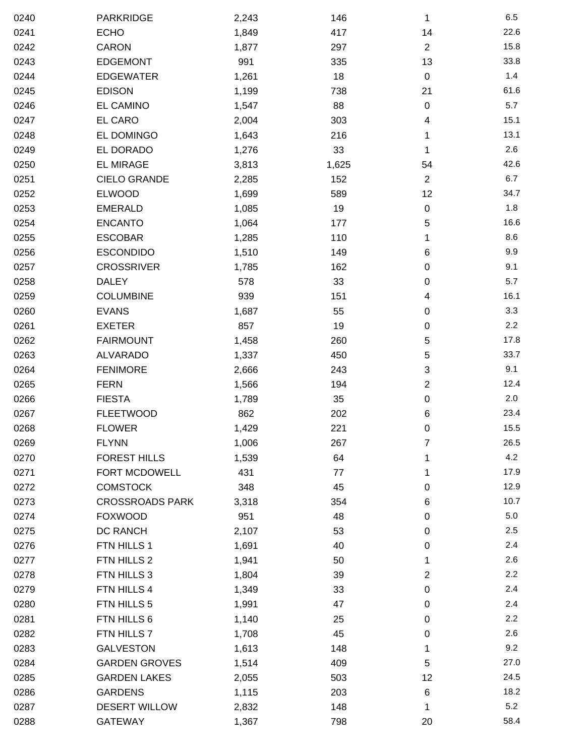| 0240 | PARKRIDGE              | 2,243 | 146   | 1                | 6.5  |
|------|------------------------|-------|-------|------------------|------|
| 0241 | <b>ECHO</b>            | 1,849 | 417   | 14               | 22.6 |
| 0242 | <b>CARON</b>           | 1,877 | 297   | $\overline{c}$   | 15.8 |
| 0243 | <b>EDGEMONT</b>        | 991   | 335   | 13               | 33.8 |
| 0244 | <b>EDGEWATER</b>       | 1,261 | 18    | $\boldsymbol{0}$ | 1.4  |
| 0245 | <b>EDISON</b>          | 1,199 | 738   | 21               | 61.6 |
| 0246 | EL CAMINO              | 1,547 | 88    | 0                | 5.7  |
| 0247 | EL CARO                | 2,004 | 303   | 4                | 15.1 |
| 0248 | EL DOMINGO             | 1,643 | 216   | 1                | 13.1 |
| 0249 | EL DORADO              | 1,276 | 33    | 1                | 2.6  |
| 0250 | <b>EL MIRAGE</b>       | 3,813 | 1,625 | 54               | 42.6 |
| 0251 | <b>CIELO GRANDE</b>    | 2,285 | 152   | $\overline{2}$   | 6.7  |
| 0252 | <b>ELWOOD</b>          | 1,699 | 589   | 12               | 34.7 |
| 0253 | <b>EMERALD</b>         | 1,085 | 19    | 0                | 1.8  |
| 0254 | <b>ENCANTO</b>         | 1,064 | 177   | 5                | 16.6 |
| 0255 | <b>ESCOBAR</b>         | 1,285 | 110   | 1                | 8.6  |
| 0256 | <b>ESCONDIDO</b>       | 1,510 | 149   | 6                | 9.9  |
| 0257 | <b>CROSSRIVER</b>      | 1,785 | 162   | 0                | 9.1  |
| 0258 | <b>DALEY</b>           | 578   | 33    | 0                | 5.7  |
| 0259 | <b>COLUMBINE</b>       | 939   | 151   | 4                | 16.1 |
| 0260 | <b>EVANS</b>           | 1,687 | 55    | 0                | 3.3  |
| 0261 | <b>EXETER</b>          | 857   | 19    | $\pmb{0}$        | 2.2  |
| 0262 | <b>FAIRMOUNT</b>       | 1,458 | 260   | 5                | 17.8 |
| 0263 | <b>ALVARADO</b>        | 1,337 | 450   | 5                | 33.7 |
| 0264 | <b>FENIMORE</b>        | 2,666 | 243   | 3                | 9.1  |
| 0265 | <b>FERN</b>            | 1,566 | 194   | 2                | 12.4 |
| 0266 | <b>FIESTA</b>          | 1,789 | 35    | $\boldsymbol{0}$ | 2.0  |
| 0267 | <b>FLEETWOOD</b>       | 862   | 202   | 6                | 23.4 |
| 0268 | <b>FLOWER</b>          | 1,429 | 221   | 0                | 15.5 |
| 0269 | <b>FLYNN</b>           | 1,006 | 267   | 7                | 26.5 |
| 0270 | <b>FOREST HILLS</b>    | 1,539 | 64    | 1                | 4.2  |
| 0271 | FORT MCDOWELL          | 431   | 77    | 1                | 17.9 |
| 0272 | <b>COMSTOCK</b>        | 348   | 45    | 0                | 12.9 |
| 0273 | <b>CROSSROADS PARK</b> | 3,318 | 354   | 6                | 10.7 |
| 0274 | <b>FOXWOOD</b>         | 951   | 48    | 0                | 5.0  |
| 0275 | DC RANCH               | 2,107 | 53    | 0                | 2.5  |
| 0276 | FTN HILLS 1            | 1,691 | 40    | 0                | 2.4  |
| 0277 | FTN HILLS 2            | 1,941 | 50    | 1                | 2.6  |
| 0278 | FTN HILLS 3            | 1,804 | 39    | $\overline{c}$   | 2.2  |
| 0279 | FTN HILLS 4            | 1,349 | 33    | 0                | 2.4  |
| 0280 | FTN HILLS 5            | 1,991 | 47    | 0                | 2.4  |
| 0281 | FTN HILLS 6            | 1,140 | 25    | 0                | 2.2  |
| 0282 | FTN HILLS 7            | 1,708 | 45    | 0                | 2.6  |
| 0283 | <b>GALVESTON</b>       | 1,613 | 148   | 1                | 9.2  |
| 0284 | <b>GARDEN GROVES</b>   | 1,514 | 409   | 5                | 27.0 |
| 0285 | <b>GARDEN LAKES</b>    | 2,055 | 503   | 12               | 24.5 |
| 0286 | <b>GARDENS</b>         | 1,115 | 203   | 6                | 18.2 |
| 0287 | <b>DESERT WILLOW</b>   | 2,832 | 148   | 1                | 5.2  |
| 0288 | <b>GATEWAY</b>         | 1,367 | 798   | 20               | 58.4 |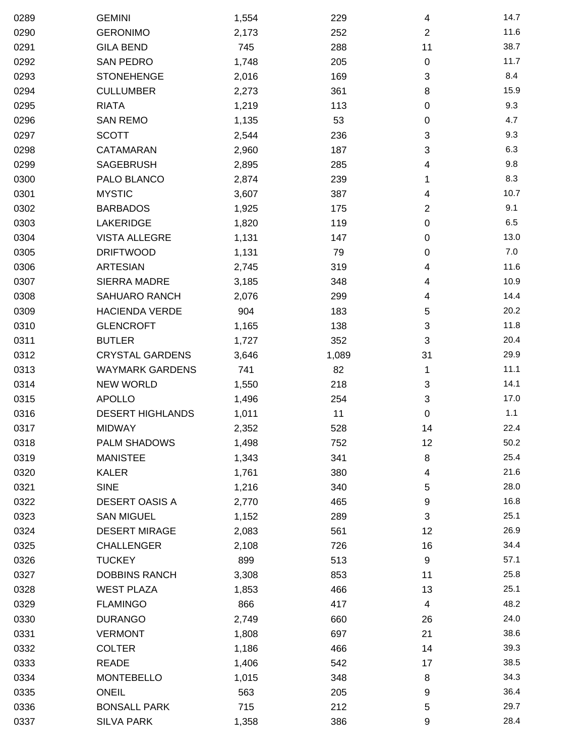| 0289 | <b>GEMINI</b>           | 1,554 | 229   | 4              | 14.7 |
|------|-------------------------|-------|-------|----------------|------|
| 0290 | <b>GERONIMO</b>         | 2,173 | 252   | $\overline{2}$ | 11.6 |
| 0291 | <b>GILA BEND</b>        | 745   | 288   | 11             | 38.7 |
| 0292 | <b>SAN PEDRO</b>        | 1,748 | 205   | $\pmb{0}$      | 11.7 |
| 0293 | <b>STONEHENGE</b>       | 2,016 | 169   | 3              | 8.4  |
| 0294 | <b>CULLUMBER</b>        | 2,273 | 361   | 8              | 15.9 |
| 0295 | <b>RIATA</b>            | 1,219 | 113   | 0              | 9.3  |
| 0296 | <b>SAN REMO</b>         | 1,135 | 53    | 0              | 4.7  |
| 0297 | <b>SCOTT</b>            | 2,544 | 236   | 3              | 9.3  |
| 0298 | CATAMARAN               | 2,960 | 187   | 3              | 6.3  |
| 0299 | <b>SAGEBRUSH</b>        | 2,895 | 285   | 4              | 9.8  |
| 0300 | PALO BLANCO             | 2,874 | 239   | 1              | 8.3  |
| 0301 | <b>MYSTIC</b>           | 3,607 | 387   | 4              | 10.7 |
| 0302 | <b>BARBADOS</b>         | 1,925 | 175   | 2              | 9.1  |
| 0303 | <b>LAKERIDGE</b>        | 1,820 | 119   | 0              | 6.5  |
| 0304 | <b>VISTA ALLEGRE</b>    | 1,131 | 147   | 0              | 13.0 |
| 0305 | <b>DRIFTWOOD</b>        | 1,131 | 79    | 0              | 7.0  |
| 0306 | <b>ARTESIAN</b>         | 2,745 | 319   | 4              | 11.6 |
| 0307 | <b>SIERRA MADRE</b>     | 3,185 | 348   | 4              | 10.9 |
| 0308 | SAHUARO RANCH           | 2,076 | 299   | 4              | 14.4 |
| 0309 | <b>HACIENDA VERDE</b>   | 904   | 183   | 5              | 20.2 |
| 0310 | <b>GLENCROFT</b>        | 1,165 | 138   | 3              | 11.8 |
| 0311 | <b>BUTLER</b>           | 1,727 | 352   | 3              | 20.4 |
| 0312 | <b>CRYSTAL GARDENS</b>  | 3,646 | 1,089 | 31             | 29.9 |
| 0313 | <b>WAYMARK GARDENS</b>  | 741   | 82    | 1              | 11.1 |
| 0314 | <b>NEW WORLD</b>        | 1,550 | 218   | 3              | 14.1 |
| 0315 | <b>APOLLO</b>           | 1,496 | 254   | 3              | 17.0 |
| 0316 | <b>DESERT HIGHLANDS</b> | 1,011 | 11    | 0              | 1.1  |
| 0317 | <b>MIDWAY</b>           | 2,352 | 528   | 14             | 22.4 |
| 0318 | PALM SHADOWS            | 1,498 | 752   | 12             | 50.2 |
| 0319 | <b>MANISTEE</b>         | 1,343 | 341   | 8              | 25.4 |
| 0320 | <b>KALER</b>            | 1,761 | 380   | 4              | 21.6 |
| 0321 | <b>SINE</b>             | 1,216 | 340   | 5              | 28.0 |
| 0322 | <b>DESERT OASIS A</b>   | 2,770 | 465   | 9              | 16.8 |
| 0323 | <b>SAN MIGUEL</b>       | 1,152 | 289   | 3              | 25.1 |
| 0324 | <b>DESERT MIRAGE</b>    | 2,083 | 561   | 12             | 26.9 |
| 0325 | <b>CHALLENGER</b>       | 2,108 | 726   | 16             | 34.4 |
| 0326 | <b>TUCKEY</b>           | 899   | 513   | 9              | 57.1 |
| 0327 | <b>DOBBINS RANCH</b>    | 3,308 | 853   | 11             | 25.8 |
| 0328 | <b>WEST PLAZA</b>       | 1,853 | 466   | 13             | 25.1 |
| 0329 | <b>FLAMINGO</b>         | 866   | 417   | 4              | 48.2 |
| 0330 | <b>DURANGO</b>          | 2,749 | 660   | 26             | 24.0 |
| 0331 | <b>VERMONT</b>          | 1,808 | 697   | 21             | 38.6 |
| 0332 | <b>COLTER</b>           | 1,186 | 466   | 14             | 39.3 |
| 0333 | READE                   | 1,406 | 542   | 17             | 38.5 |
| 0334 | <b>MONTEBELLO</b>       | 1,015 | 348   | 8              | 34.3 |
| 0335 | <b>ONEIL</b>            | 563   | 205   | 9              | 36.4 |
| 0336 | <b>BONSALL PARK</b>     | 715   | 212   | 5              | 29.7 |
| 0337 | <b>SILVA PARK</b>       | 1,358 | 386   | 9              | 28.4 |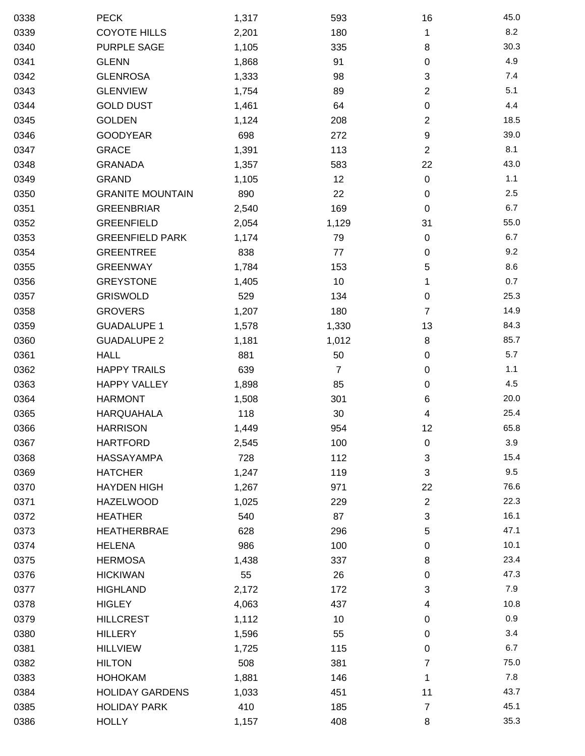| 0338 | <b>PECK</b>             | 1,317 | 593            | 16                      | 45.0 |
|------|-------------------------|-------|----------------|-------------------------|------|
| 0339 | <b>COYOTE HILLS</b>     | 2,201 | 180            | 1                       | 8.2  |
| 0340 | <b>PURPLE SAGE</b>      | 1,105 | 335            | 8                       | 30.3 |
| 0341 | <b>GLENN</b>            | 1,868 | 91             | $\pmb{0}$               | 4.9  |
| 0342 | <b>GLENROSA</b>         | 1,333 | 98             | 3                       | 7.4  |
| 0343 | <b>GLENVIEW</b>         | 1,754 | 89             | $\overline{c}$          | 5.1  |
| 0344 | <b>GOLD DUST</b>        | 1,461 | 64             | 0                       | 4.4  |
| 0345 | <b>GOLDEN</b>           | 1,124 | 208            | $\overline{c}$          | 18.5 |
| 0346 | <b>GOODYEAR</b>         | 698   | 272            | $\boldsymbol{9}$        | 39.0 |
| 0347 | <b>GRACE</b>            | 1,391 | 113            | $\overline{2}$          | 8.1  |
| 0348 | <b>GRANADA</b>          | 1,357 | 583            | 22                      | 43.0 |
| 0349 | <b>GRAND</b>            | 1,105 | 12             | $\pmb{0}$               | 1.1  |
| 0350 | <b>GRANITE MOUNTAIN</b> | 890   | 22             | 0                       | 2.5  |
| 0351 | <b>GREENBRIAR</b>       | 2,540 | 169            | $\boldsymbol{0}$        | 6.7  |
| 0352 | <b>GREENFIELD</b>       | 2,054 | 1,129          | 31                      | 55.0 |
| 0353 | <b>GREENFIELD PARK</b>  | 1,174 | 79             | $\pmb{0}$               | 6.7  |
| 0354 | <b>GREENTREE</b>        | 838   | 77             | 0                       | 9.2  |
| 0355 | <b>GREENWAY</b>         | 1,784 | 153            | 5                       | 8.6  |
| 0356 | <b>GREYSTONE</b>        | 1,405 | 10             | 1                       | 0.7  |
| 0357 | <b>GRISWOLD</b>         | 529   | 134            | $\pmb{0}$               | 25.3 |
| 0358 | <b>GROVERS</b>          | 1,207 | 180            | 7                       | 14.9 |
| 0359 | <b>GUADALUPE 1</b>      | 1,578 | 1,330          | 13                      | 84.3 |
| 0360 | <b>GUADALUPE 2</b>      | 1,181 | 1,012          | 8                       | 85.7 |
| 0361 | <b>HALL</b>             | 881   | 50             | 0                       | 5.7  |
| 0362 | <b>HAPPY TRAILS</b>     | 639   | $\overline{7}$ | $\pmb{0}$               | 1.1  |
| 0363 | <b>HAPPY VALLEY</b>     | 1,898 | 85             | 0                       | 4.5  |
| 0364 | <b>HARMONT</b>          | 1,508 | 301            | 6                       | 20.0 |
| 0365 | <b>HARQUAHALA</b>       | 118   | 30             | 4                       | 25.4 |
| 0366 | <b>HARRISON</b>         | 1,449 | 954            | 12                      | 65.8 |
| 0367 | <b>HARTFORD</b>         | 2,545 | 100            | 0                       | 3.9  |
| 0368 | <b>HASSAYAMPA</b>       | 728   | 112            | 3                       | 15.4 |
| 0369 | <b>HATCHER</b>          | 1,247 | 119            | 3                       | 9.5  |
| 0370 | <b>HAYDEN HIGH</b>      | 1,267 | 971            | 22                      | 76.6 |
| 0371 | <b>HAZELWOOD</b>        | 1,025 | 229            | $\overline{\mathbf{c}}$ | 22.3 |
| 0372 | <b>HEATHER</b>          | 540   | 87             | 3                       | 16.1 |
| 0373 | <b>HEATHERBRAE</b>      | 628   | 296            | 5                       | 47.1 |
| 0374 | <b>HELENA</b>           | 986   | 100            | 0                       | 10.1 |
| 0375 | <b>HERMOSA</b>          | 1,438 | 337            | 8                       | 23.4 |
| 0376 | <b>HICKIWAN</b>         | 55    | 26             | 0                       | 47.3 |
| 0377 | <b>HIGHLAND</b>         | 2,172 | 172            | 3                       | 7.9  |
| 0378 | <b>HIGLEY</b>           | 4,063 | 437            | 4                       | 10.8 |
| 0379 | <b>HILLCREST</b>        | 1,112 | 10             | 0                       | 0.9  |
| 0380 | <b>HILLERY</b>          | 1,596 | 55             | 0                       | 3.4  |
| 0381 | <b>HILLVIEW</b>         | 1,725 | 115            | 0                       | 6.7  |
| 0382 | <b>HILTON</b>           | 508   | 381            | 7                       | 75.0 |
| 0383 | <b>HOHOKAM</b>          | 1,881 | 146            | 1                       | 7.8  |
| 0384 | <b>HOLIDAY GARDENS</b>  | 1,033 | 451            | 11                      | 43.7 |
| 0385 | <b>HOLIDAY PARK</b>     | 410   | 185            | 7                       | 45.1 |
| 0386 | <b>HOLLY</b>            | 1,157 | 408            | 8                       | 35.3 |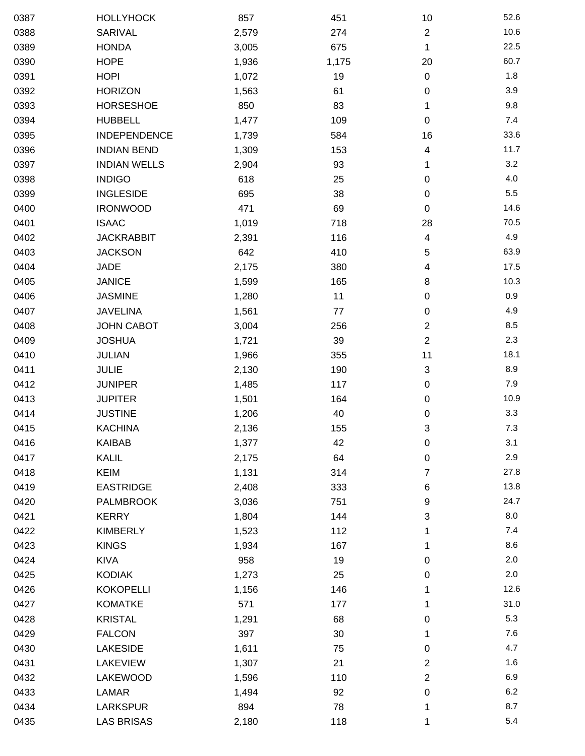| 0387 | <b>HOLLYHOCK</b>    | 857   | 451   | 10                      | 52.6 |
|------|---------------------|-------|-------|-------------------------|------|
| 0388 | SARIVAL             | 2,579 | 274   | $\overline{2}$          | 10.6 |
| 0389 | <b>HONDA</b>        | 3,005 | 675   | 1                       | 22.5 |
| 0390 | <b>HOPE</b>         | 1,936 | 1,175 | 20                      | 60.7 |
| 0391 | <b>HOPI</b>         | 1,072 | 19    | $\pmb{0}$               | 1.8  |
| 0392 | <b>HORIZON</b>      | 1,563 | 61    | $\pmb{0}$               | 3.9  |
| 0393 | <b>HORSESHOE</b>    | 850   | 83    | 1                       | 9.8  |
| 0394 | <b>HUBBELL</b>      | 1,477 | 109   | 0                       | 7.4  |
| 0395 | <b>INDEPENDENCE</b> | 1,739 | 584   | 16                      | 33.6 |
| 0396 | <b>INDIAN BEND</b>  | 1,309 | 153   | 4                       | 11.7 |
| 0397 | <b>INDIAN WELLS</b> | 2,904 | 93    | 1                       | 3.2  |
| 0398 | <b>INDIGO</b>       | 618   | 25    | 0                       | 4.0  |
| 0399 | <b>INGLESIDE</b>    | 695   | 38    | $\pmb{0}$               | 5.5  |
| 0400 | <b>IRONWOOD</b>     | 471   | 69    | $\pmb{0}$               | 14.6 |
| 0401 | <b>ISAAC</b>        | 1,019 | 718   | 28                      | 70.5 |
| 0402 | <b>JACKRABBIT</b>   | 2,391 | 116   | 4                       | 4.9  |
| 0403 | <b>JACKSON</b>      | 642   | 410   | 5                       | 63.9 |
| 0404 | <b>JADE</b>         | 2,175 | 380   | 4                       | 17.5 |
| 0405 | <b>JANICE</b>       | 1,599 | 165   | 8                       | 10.3 |
| 0406 | <b>JASMINE</b>      | 1,280 | 11    | $\boldsymbol{0}$        | 0.9  |
| 0407 | <b>JAVELINA</b>     | 1,561 | 77    | 0                       | 4.9  |
| 0408 | <b>JOHN CABOT</b>   | 3,004 | 256   | $\overline{\mathbf{c}}$ | 8.5  |
| 0409 | <b>JOSHUA</b>       | 1,721 | 39    | $\overline{2}$          | 2.3  |
| 0410 | <b>JULIAN</b>       | 1,966 | 355   | 11                      | 18.1 |
| 0411 | <b>JULIE</b>        | 2,130 | 190   | 3                       | 8.9  |
| 0412 | <b>JUNIPER</b>      | 1,485 | 117   | 0                       | 7.9  |
| 0413 | <b>JUPITER</b>      | 1,501 | 164   | $\pmb{0}$               | 10.9 |
| 0414 | <b>JUSTINE</b>      | 1,206 | 40    | 0                       | 3.3  |
| 0415 | <b>KACHINA</b>      | 2,136 | 155   | 3                       | 7.3  |
| 0416 | KAIBAB              | 1,377 | 42    | $\pmb{0}$               | 3.1  |
| 0417 | KALIL               | 2,175 | 64    | $\boldsymbol{0}$        | 2.9  |
| 0418 | <b>KEIM</b>         | 1,131 | 314   | 7                       | 27.8 |
| 0419 | <b>EASTRIDGE</b>    | 2,408 | 333   | 6                       | 13.8 |
| 0420 | <b>PALMBROOK</b>    | 3,036 | 751   | 9                       | 24.7 |
| 0421 | <b>KERRY</b>        | 1,804 | 144   | 3                       | 8.0  |
| 0422 | <b>KIMBERLY</b>     | 1,523 | 112   | 1                       | 7.4  |
| 0423 | <b>KINGS</b>        | 1,934 | 167   | 1                       | 8.6  |
| 0424 | <b>KIVA</b>         | 958   | 19    | 0                       | 2.0  |
| 0425 | <b>KODIAK</b>       | 1,273 | 25    | 0                       | 2.0  |
| 0426 | <b>KOKOPELLI</b>    | 1,156 | 146   | 1                       | 12.6 |
| 0427 | <b>KOMATKE</b>      | 571   | 177   | 1                       | 31.0 |
| 0428 | <b>KRISTAL</b>      | 1,291 | 68    | 0                       | 5.3  |
| 0429 | <b>FALCON</b>       | 397   | 30    | 1                       | 7.6  |
| 0430 | <b>LAKESIDE</b>     | 1,611 | 75    | 0                       | 4.7  |
| 0431 | <b>LAKEVIEW</b>     | 1,307 | 21    | $\overline{\mathbf{c}}$ | 1.6  |
| 0432 | LAKEWOOD            | 1,596 | 110   | $\overline{2}$          | 6.9  |
| 0433 | <b>LAMAR</b>        | 1,494 | 92    | $\boldsymbol{0}$        | 6.2  |
| 0434 | <b>LARKSPUR</b>     | 894   | 78    | 1                       | 8.7  |
| 0435 | <b>LAS BRISAS</b>   | 2,180 | 118   | 1                       | 5.4  |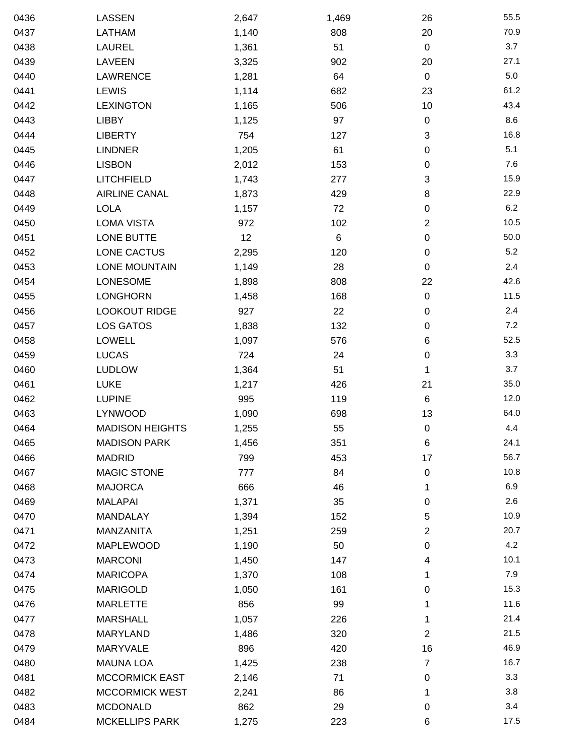| 0436 | LASSEN                 | 2,647 | 1,469 | 26                        | 55.5    |
|------|------------------------|-------|-------|---------------------------|---------|
| 0437 | LATHAM                 | 1,140 | 808   | 20                        | 70.9    |
| 0438 | <b>LAUREL</b>          | 1,361 | 51    | $\mathbf 0$               | 3.7     |
| 0439 | LAVEEN                 | 3,325 | 902   | 20                        | 27.1    |
| 0440 | <b>LAWRENCE</b>        | 1,281 | 64    | $\mathbf 0$               | $5.0\,$ |
| 0441 | <b>LEWIS</b>           | 1,114 | 682   | 23                        | 61.2    |
| 0442 | <b>LEXINGTON</b>       | 1,165 | 506   | 10                        | 43.4    |
| 0443 | <b>LIBBY</b>           | 1,125 | 97    | $\pmb{0}$                 | 8.6     |
| 0444 | <b>LIBERTY</b>         | 754   | 127   | $\ensuremath{\mathsf{3}}$ | 16.8    |
| 0445 | <b>LINDNER</b>         | 1,205 | 61    | 0                         | 5.1     |
| 0446 | <b>LISBON</b>          | 2,012 | 153   | $\pmb{0}$                 | 7.6     |
| 0447 | <b>LITCHFIELD</b>      | 1,743 | 277   | 3                         | 15.9    |
| 0448 | <b>AIRLINE CANAL</b>   | 1,873 | 429   | 8                         | 22.9    |
| 0449 | <b>LOLA</b>            | 1,157 | 72    | 0                         | 6.2     |
| 0450 | <b>LOMA VISTA</b>      | 972   | 102   | 2                         | 10.5    |
| 0451 | LONE BUTTE             | 12    | 6     | 0                         | 50.0    |
| 0452 | LONE CACTUS            | 2,295 | 120   | $\pmb{0}$                 | 5.2     |
| 0453 | <b>LONE MOUNTAIN</b>   | 1,149 | 28    | $\pmb{0}$                 | 2.4     |
| 0454 | LONESOME               | 1,898 | 808   | 22                        | 42.6    |
| 0455 | <b>LONGHORN</b>        | 1,458 | 168   | $\pmb{0}$                 | 11.5    |
| 0456 | <b>LOOKOUT RIDGE</b>   | 927   | 22    | $\pmb{0}$                 | 2.4     |
| 0457 | <b>LOS GATOS</b>       | 1,838 | 132   | 0                         | 7.2     |
| 0458 | <b>LOWELL</b>          | 1,097 | 576   | 6                         | 52.5    |
| 0459 | <b>LUCAS</b>           | 724   | 24    | 0                         | 3.3     |
| 0460 | <b>LUDLOW</b>          | 1,364 | 51    | 1                         | 3.7     |
| 0461 | <b>LUKE</b>            | 1,217 | 426   | 21                        | 35.0    |
| 0462 | <b>LUPINE</b>          | 995   | 119   | $\,6$                     | 12.0    |
| 0463 | LYNWOOD                | 1,090 | 698   | 13                        | 64.0    |
| 0464 | <b>MADISON HEIGHTS</b> | 1,255 | 55    | $\pmb{0}$                 | 4.4     |
| 0465 | <b>MADISON PARK</b>    | 1,456 | 351   | 6                         | 24.1    |
| 0466 | <b>MADRID</b>          | 799   | 453   | 17                        | 56.7    |
| 0467 | <b>MAGIC STONE</b>     | 777   | 84    | 0                         | 10.8    |
| 0468 | <b>MAJORCA</b>         | 666   | 46    | 1                         | 6.9     |
| 0469 | <b>MALAPAI</b>         | 1,371 | 35    | $\pmb{0}$                 | 2.6     |
| 0470 | MANDALAY               | 1,394 | 152   | 5                         | 10.9    |
| 0471 | MANZANITA              | 1,251 | 259   | $\overline{2}$            | 20.7    |
| 0472 | MAPLEWOOD              | 1,190 | 50    | 0                         | 4.2     |
| 0473 | <b>MARCONI</b>         | 1,450 | 147   | 4                         | 10.1    |
| 0474 | <b>MARICOPA</b>        | 1,370 | 108   | 1                         | 7.9     |
| 0475 | <b>MARIGOLD</b>        | 1,050 | 161   | 0                         | 15.3    |
| 0476 | <b>MARLETTE</b>        | 856   | 99    | 1                         | 11.6    |
| 0477 | <b>MARSHALL</b>        | 1,057 | 226   | 1                         | 21.4    |
| 0478 | MARYLAND               | 1,486 | 320   | $\overline{2}$            | 21.5    |
| 0479 | <b>MARYVALE</b>        | 896   | 420   | 16                        | 46.9    |
| 0480 | <b>MAUNA LOA</b>       | 1,425 | 238   | 7                         | 16.7    |
| 0481 | <b>MCCORMICK EAST</b>  | 2,146 | 71    | 0                         | 3.3     |
| 0482 | MCCORMICK WEST         | 2,241 | 86    | 1                         | 3.8     |
| 0483 | <b>MCDONALD</b>        | 862   | 29    | $\pmb{0}$                 | 3.4     |
| 0484 | <b>MCKELLIPS PARK</b>  | 1,275 | 223   | 6                         | 17.5    |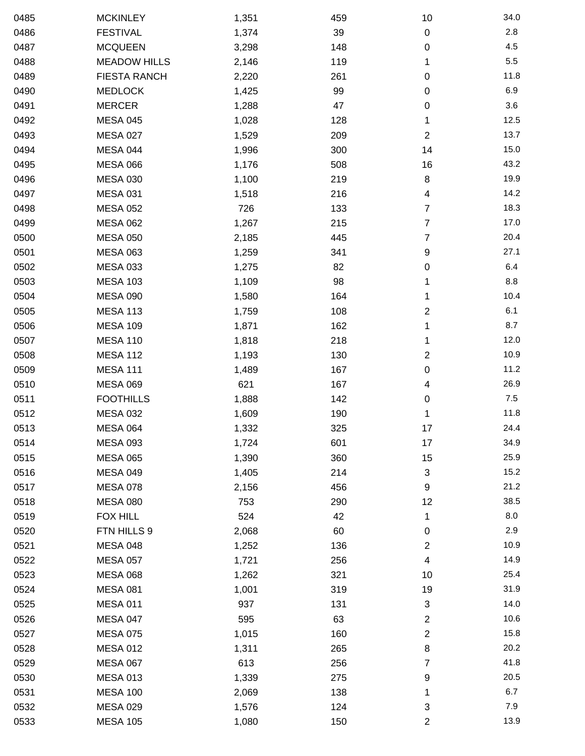| 0485 | <b>MCKINLEY</b>     | 1,351 | 459 | 10                        | 34.0  |
|------|---------------------|-------|-----|---------------------------|-------|
| 0486 | <b>FESTIVAL</b>     | 1,374 | 39  | $\pmb{0}$                 | 2.8   |
| 0487 | <b>MCQUEEN</b>      | 3,298 | 148 | 0                         | 4.5   |
| 0488 | <b>MEADOW HILLS</b> | 2,146 | 119 | 1                         | 5.5   |
| 0489 | <b>FIESTA RANCH</b> | 2,220 | 261 | $\pmb{0}$                 | 11.8  |
| 0490 | <b>MEDLOCK</b>      | 1,425 | 99  | $\pmb{0}$                 | 6.9   |
| 0491 | <b>MERCER</b>       | 1,288 | 47  | $\pmb{0}$                 | 3.6   |
| 0492 | <b>MESA 045</b>     | 1,028 | 128 | 1                         | 12.5  |
| 0493 | <b>MESA 027</b>     | 1,529 | 209 | $\overline{2}$            | 13.7  |
| 0494 | MESA 044            | 1,996 | 300 | 14                        | 15.0  |
| 0495 | <b>MESA 066</b>     | 1,176 | 508 | 16                        | 43.2  |
| 0496 | <b>MESA 030</b>     | 1,100 | 219 | 8                         | 19.9  |
| 0497 | <b>MESA 031</b>     | 1,518 | 216 | 4                         | 14.2  |
| 0498 | <b>MESA 052</b>     | 726   | 133 | 7                         | 18.3  |
| 0499 | <b>MESA 062</b>     | 1,267 | 215 | 7                         | 17.0  |
| 0500 | <b>MESA 050</b>     | 2,185 | 445 | 7                         | 20.4  |
| 0501 | <b>MESA 063</b>     | 1,259 | 341 | 9                         | 27.1  |
| 0502 | <b>MESA 033</b>     | 1,275 | 82  | 0                         | 6.4   |
| 0503 | <b>MESA 103</b>     | 1,109 | 98  | 1                         | 8.8   |
| 0504 | <b>MESA 090</b>     | 1,580 | 164 | 1                         | 10.4  |
| 0505 | <b>MESA 113</b>     | 1,759 | 108 | $\overline{2}$            | 6.1   |
| 0506 | <b>MESA 109</b>     | 1,871 | 162 | 1                         | 8.7   |
| 0507 | <b>MESA 110</b>     | 1,818 | 218 | 1                         | 12.0  |
| 0508 | <b>MESA 112</b>     | 1,193 | 130 | $\overline{2}$            | 10.9  |
| 0509 | <b>MESA 111</b>     | 1,489 | 167 | 0                         | 11.2  |
| 0510 | <b>MESA 069</b>     | 621   | 167 | 4                         | 26.9  |
| 0511 | <b>FOOTHILLS</b>    | 1,888 | 142 | $\pmb{0}$                 | $7.5$ |
| 0512 | <b>MESA 032</b>     | 1,609 | 190 | 1                         | 11.8  |
| 0513 | <b>MESA 064</b>     | 1,332 | 325 | 17                        | 24.4  |
| 0514 | <b>MESA 093</b>     | 1,724 | 601 | 17                        | 34.9  |
| 0515 | <b>MESA 065</b>     | 1,390 | 360 | 15                        | 25.9  |
| 0516 | <b>MESA 049</b>     | 1,405 | 214 | $\ensuremath{\mathsf{3}}$ | 15.2  |
| 0517 | <b>MESA 078</b>     | 2,156 | 456 | 9                         | 21.2  |
| 0518 | <b>MESA 080</b>     | 753   | 290 | 12                        | 38.5  |
| 0519 | <b>FOX HILL</b>     | 524   | 42  | 1                         | 8.0   |
| 0520 | FTN HILLS 9         | 2,068 | 60  | 0                         | 2.9   |
| 0521 | <b>MESA 048</b>     | 1,252 | 136 | 2                         | 10.9  |
| 0522 | <b>MESA 057</b>     | 1,721 | 256 | 4                         | 14.9  |
| 0523 | <b>MESA 068</b>     | 1,262 | 321 | 10                        | 25.4  |
| 0524 | <b>MESA 081</b>     | 1,001 | 319 | 19                        | 31.9  |
| 0525 | <b>MESA 011</b>     | 937   | 131 | 3                         | 14.0  |
| 0526 | <b>MESA 047</b>     | 595   | 63  | 2                         | 10.6  |
| 0527 | <b>MESA 075</b>     | 1,015 | 160 | 2                         | 15.8  |
| 0528 | <b>MESA 012</b>     | 1,311 | 265 | 8                         | 20.2  |
| 0529 | <b>MESA 067</b>     | 613   | 256 | 7                         | 41.8  |
| 0530 | <b>MESA 013</b>     | 1,339 | 275 | 9                         | 20.5  |
| 0531 | <b>MESA 100</b>     | 2,069 | 138 | 1                         | 6.7   |
| 0532 | <b>MESA 029</b>     | 1,576 | 124 | 3                         | 7.9   |
| 0533 | <b>MESA 105</b>     | 1,080 | 150 | $\boldsymbol{2}$          | 13.9  |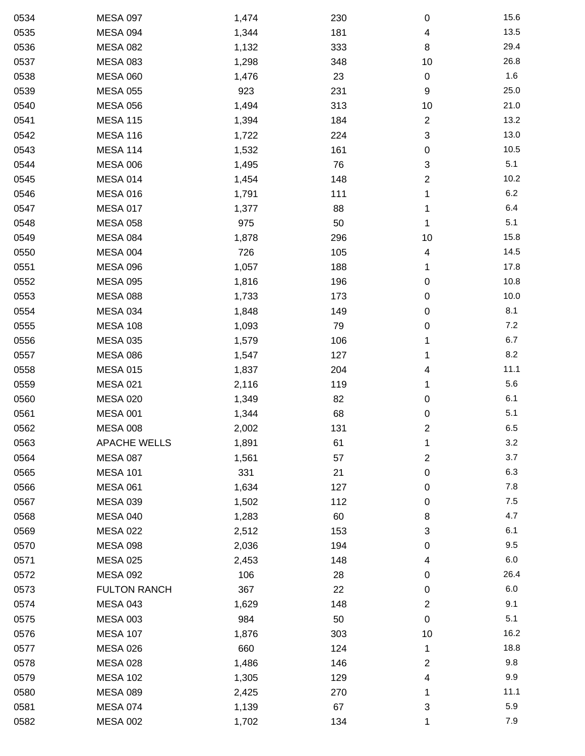| 0534 | <b>MESA 097</b>     | 1,474 | 230 | $\pmb{0}$                 | 15.6 |
|------|---------------------|-------|-----|---------------------------|------|
| 0535 | MESA 094            | 1,344 | 181 | 4                         | 13.5 |
| 0536 | <b>MESA 082</b>     | 1,132 | 333 | 8                         | 29.4 |
| 0537 | <b>MESA 083</b>     | 1,298 | 348 | 10                        | 26.8 |
| 0538 | <b>MESA 060</b>     | 1,476 | 23  | $\pmb{0}$                 | 1.6  |
| 0539 | <b>MESA 055</b>     | 923   | 231 | 9                         | 25.0 |
| 0540 | <b>MESA 056</b>     | 1,494 | 313 | 10                        | 21.0 |
| 0541 | <b>MESA 115</b>     | 1,394 | 184 | $\overline{c}$            | 13.2 |
| 0542 | <b>MESA 116</b>     | 1,722 | 224 | $\ensuremath{\mathsf{3}}$ | 13.0 |
| 0543 | <b>MESA 114</b>     | 1,532 | 161 | $\pmb{0}$                 | 10.5 |
| 0544 | <b>MESA 006</b>     | 1,495 | 76  | $\ensuremath{\mathsf{3}}$ | 5.1  |
| 0545 | MESA 014            | 1,454 | 148 | 2                         | 10.2 |
| 0546 | <b>MESA 016</b>     | 1,791 | 111 | 1                         | 6.2  |
| 0547 | <b>MESA 017</b>     | 1,377 | 88  | 1                         | 6.4  |
| 0548 | <b>MESA 058</b>     | 975   | 50  | 1                         | 5.1  |
| 0549 | <b>MESA 084</b>     | 1,878 | 296 | 10                        | 15.8 |
| 0550 | <b>MESA 004</b>     | 726   | 105 | 4                         | 14.5 |
| 0551 | <b>MESA 096</b>     | 1,057 | 188 | 1                         | 17.8 |
| 0552 | <b>MESA 095</b>     | 1,816 | 196 | $\pmb{0}$                 | 10.8 |
| 0553 | <b>MESA 088</b>     | 1,733 | 173 | $\pmb{0}$                 | 10.0 |
| 0554 | <b>MESA 034</b>     | 1,848 | 149 | $\pmb{0}$                 | 8.1  |
| 0555 | <b>MESA 108</b>     | 1,093 | 79  | 0                         | 7.2  |
| 0556 | <b>MESA 035</b>     | 1,579 | 106 | 1                         | 6.7  |
| 0557 | <b>MESA 086</b>     | 1,547 | 127 | 1                         | 8.2  |
| 0558 | <b>MESA 015</b>     | 1,837 | 204 | 4                         | 11.1 |
| 0559 | <b>MESA 021</b>     | 2,116 | 119 | 1                         | 5.6  |
| 0560 | <b>MESA 020</b>     | 1,349 | 82  | $\pmb{0}$                 | 6.1  |
| 0561 | <b>MESA 001</b>     | 1,344 | 68  | $\pmb{0}$                 | 5.1  |
| 0562 | <b>MESA 008</b>     | 2,002 | 131 | $\boldsymbol{2}$          | 6.5  |
| 0563 | <b>APACHE WELLS</b> | 1,891 | 61  | 1                         | 3.2  |
| 0564 | <b>MESA 087</b>     | 1,561 | 57  | 2                         | 3.7  |
| 0565 | <b>MESA 101</b>     | 331   | 21  | 0                         | 6.3  |
| 0566 | <b>MESA 061</b>     | 1,634 | 127 | 0                         | 7.8  |
| 0567 | <b>MESA 039</b>     | 1,502 | 112 | $\pmb{0}$                 | 7.5  |
| 0568 | <b>MESA 040</b>     | 1,283 | 60  | 8                         | 4.7  |
| 0569 | <b>MESA 022</b>     | 2,512 | 153 | $\ensuremath{\mathsf{3}}$ | 6.1  |
| 0570 | <b>MESA 098</b>     | 2,036 | 194 | 0                         | 9.5  |
| 0571 | <b>MESA 025</b>     | 2,453 | 148 | 4                         | 6.0  |
| 0572 | <b>MESA 092</b>     | 106   | 28  | $\pmb{0}$                 | 26.4 |
| 0573 | <b>FULTON RANCH</b> | 367   | 22  | 0                         | 6.0  |
| 0574 | <b>MESA 043</b>     | 1,629 | 148 | $\boldsymbol{2}$          | 9.1  |
| 0575 | <b>MESA 003</b>     | 984   | 50  | $\pmb{0}$                 | 5.1  |
| 0576 | <b>MESA 107</b>     | 1,876 | 303 | 10                        | 16.2 |
| 0577 | <b>MESA 026</b>     | 660   | 124 | 1                         | 18.8 |
| 0578 | <b>MESA 028</b>     | 1,486 | 146 | $\overline{c}$            | 9.8  |
| 0579 | <b>MESA 102</b>     | 1,305 | 129 | 4                         | 9.9  |
| 0580 | <b>MESA 089</b>     | 2,425 | 270 | 1                         | 11.1 |
| 0581 | <b>MESA 074</b>     | 1,139 | 67  | 3                         | 5.9  |
| 0582 | <b>MESA 002</b>     | 1,702 | 134 | 1                         | 7.9  |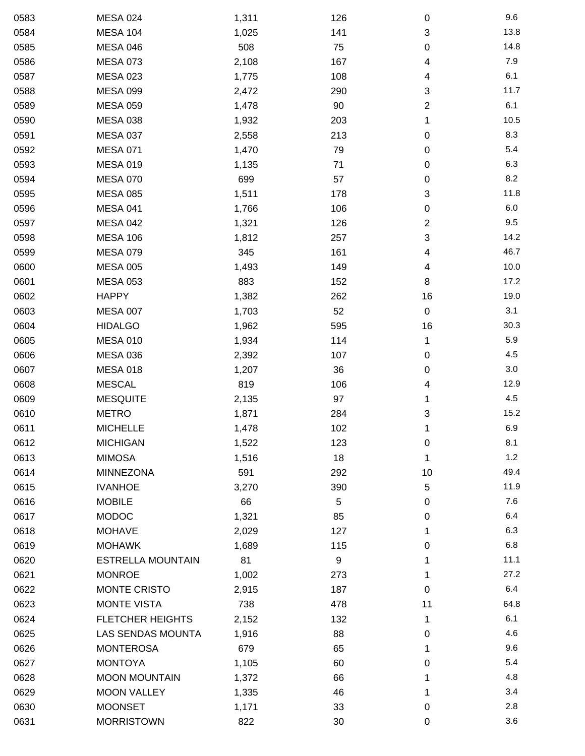| 0583 | <b>MESA 024</b>          | 1,311 | 126 | 0         | 9.6  |
|------|--------------------------|-------|-----|-----------|------|
| 0584 | <b>MESA 104</b>          | 1,025 | 141 | 3         | 13.8 |
| 0585 | <b>MESA 046</b>          | 508   | 75  | 0         | 14.8 |
| 0586 | <b>MESA 073</b>          | 2,108 | 167 | 4         | 7.9  |
| 0587 | <b>MESA 023</b>          | 1,775 | 108 | 4         | 6.1  |
| 0588 | <b>MESA 099</b>          | 2,472 | 290 | 3         | 11.7 |
| 0589 | <b>MESA 059</b>          | 1,478 | 90  | 2         | 6.1  |
| 0590 | <b>MESA 038</b>          | 1,932 | 203 | 1         | 10.5 |
| 0591 | <b>MESA 037</b>          | 2,558 | 213 | 0         | 8.3  |
| 0592 | <b>MESA 071</b>          | 1,470 | 79  | 0         | 5.4  |
| 0593 | <b>MESA 019</b>          | 1,135 | 71  | $\pmb{0}$ | 6.3  |
| 0594 | <b>MESA 070</b>          | 699   | 57  | 0         | 8.2  |
| 0595 | <b>MESA 085</b>          | 1,511 | 178 | 3         | 11.8 |
| 0596 | MESA 041                 | 1,766 | 106 | 0         | 6.0  |
| 0597 | <b>MESA 042</b>          | 1,321 | 126 | 2         | 9.5  |
| 0598 | <b>MESA 106</b>          | 1,812 | 257 | 3         | 14.2 |
| 0599 | <b>MESA 079</b>          | 345   | 161 | 4         | 46.7 |
| 0600 | <b>MESA 005</b>          | 1,493 | 149 | 4         | 10.0 |
| 0601 | <b>MESA 053</b>          | 883   | 152 | 8         | 17.2 |
| 0602 | <b>HAPPY</b>             | 1,382 | 262 | 16        | 19.0 |
| 0603 | <b>MESA 007</b>          | 1,703 | 52  | $\pmb{0}$ | 3.1  |
| 0604 | <b>HIDALGO</b>           | 1,962 | 595 | 16        | 30.3 |
| 0605 | <b>MESA 010</b>          | 1,934 | 114 | 1         | 5.9  |
| 0606 | <b>MESA 036</b>          | 2,392 | 107 | 0         | 4.5  |
| 0607 | <b>MESA 018</b>          | 1,207 | 36  | 0         | 3.0  |
| 0608 | <b>MESCAL</b>            | 819   | 106 | 4         | 12.9 |
| 0609 | <b>MESQUITE</b>          | 2,135 | 97  | 1         | 4.5  |
| 0610 | <b>METRO</b>             | 1,871 | 284 | 3         | 15.2 |
| 0611 | <b>MICHELLE</b>          | 1,478 | 102 | 1         | 6.9  |
| 0612 | <b>MICHIGAN</b>          | 1,522 | 123 | 0         | 8.1  |
| 0613 | <b>MIMOSA</b>            | 1,516 | 18  | 1         | 1.2  |
| 0614 | <b>MINNEZONA</b>         | 591   | 292 | 10        | 49.4 |
| 0615 | <b>IVANHOE</b>           | 3,270 | 390 | 5         | 11.9 |
| 0616 | <b>MOBILE</b>            | 66    | 5   | 0         | 7.6  |
| 0617 | <b>MODOC</b>             | 1,321 | 85  | 0         | 6.4  |
| 0618 | <b>MOHAVE</b>            | 2,029 | 127 | 1         | 6.3  |
| 0619 | <b>MOHAWK</b>            | 1,689 | 115 | 0         | 6.8  |
| 0620 | <b>ESTRELLA MOUNTAIN</b> | 81    | 9   | 1         | 11.1 |
| 0621 | <b>MONROE</b>            | 1,002 | 273 | 1         | 27.2 |
| 0622 | <b>MONTE CRISTO</b>      | 2,915 | 187 | 0         | 6.4  |
| 0623 | <b>MONTE VISTA</b>       | 738   | 478 | 11        | 64.8 |
| 0624 | <b>FLETCHER HEIGHTS</b>  | 2,152 | 132 | 1         | 6.1  |
| 0625 | LAS SENDAS MOUNTA        | 1,916 | 88  | 0         | 4.6  |
| 0626 | <b>MONTEROSA</b>         | 679   | 65  | 1         | 9.6  |
| 0627 | <b>MONTOYA</b>           | 1,105 | 60  | 0         | 5.4  |
| 0628 | <b>MOON MOUNTAIN</b>     | 1,372 | 66  | 1         | 4.8  |
| 0629 | <b>MOON VALLEY</b>       | 1,335 | 46  | 1         | 3.4  |
| 0630 | <b>MOONSET</b>           | 1,171 | 33  | 0         | 2.8  |
| 0631 | <b>MORRISTOWN</b>        | 822   | 30  | 0         | 3.6  |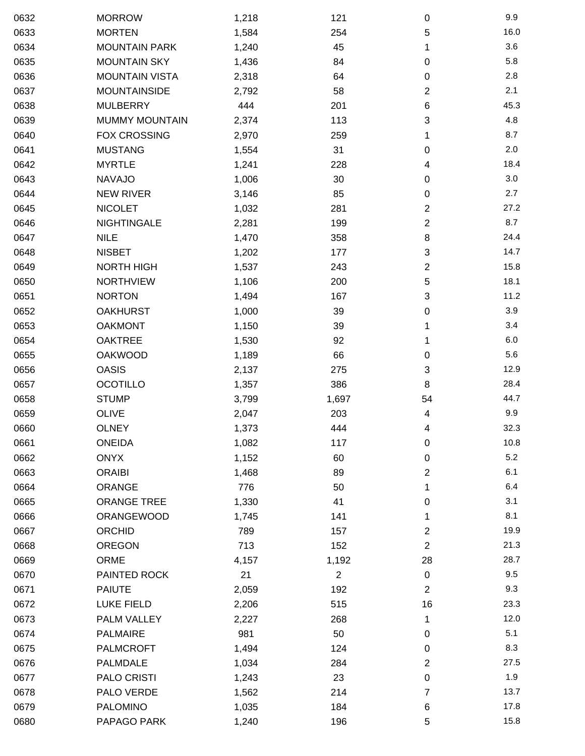| 0632 | <b>MORROW</b>         | 1,218 | 121            | $\mathbf 0$      | 9.9  |
|------|-----------------------|-------|----------------|------------------|------|
| 0633 | <b>MORTEN</b>         | 1,584 | 254            | 5                | 16.0 |
| 0634 | <b>MOUNTAIN PARK</b>  | 1,240 | 45             | 1                | 3.6  |
| 0635 | <b>MOUNTAIN SKY</b>   | 1,436 | 84             | 0                | 5.8  |
| 0636 | <b>MOUNTAIN VISTA</b> | 2,318 | 64             | 0                | 2.8  |
| 0637 | <b>MOUNTAINSIDE</b>   | 2,792 | 58             | $\overline{2}$   | 2.1  |
| 0638 | <b>MULBERRY</b>       | 444   | 201            | 6                | 45.3 |
| 0639 | <b>MUMMY MOUNTAIN</b> | 2,374 | 113            | 3                | 4.8  |
| 0640 | FOX CROSSING          | 2,970 | 259            | 1                | 8.7  |
| 0641 | <b>MUSTANG</b>        | 1,554 | 31             | 0                | 2.0  |
| 0642 | <b>MYRTLE</b>         | 1,241 | 228            | 4                | 18.4 |
| 0643 | <b>NAVAJO</b>         | 1,006 | 30             | 0                | 3.0  |
| 0644 | <b>NEW RIVER</b>      | 3,146 | 85             | 0                | 2.7  |
| 0645 | <b>NICOLET</b>        | 1,032 | 281            | 2                | 27.2 |
| 0646 | <b>NIGHTINGALE</b>    | 2,281 | 199            | $\sqrt{2}$       | 8.7  |
| 0647 | <b>NILE</b>           | 1,470 | 358            | 8                | 24.4 |
| 0648 | <b>NISBET</b>         | 1,202 | 177            | 3                | 14.7 |
| 0649 | <b>NORTH HIGH</b>     | 1,537 | 243            | $\overline{2}$   | 15.8 |
| 0650 | <b>NORTHVIEW</b>      | 1,106 | 200            | 5                | 18.1 |
| 0651 | <b>NORTON</b>         | 1,494 | 167            | 3                | 11.2 |
| 0652 | <b>OAKHURST</b>       | 1,000 | 39             | 0                | 3.9  |
| 0653 | <b>OAKMONT</b>        | 1,150 | 39             | 1                | 3.4  |
| 0654 | <b>OAKTREE</b>        | 1,530 | 92             | 1                | 6.0  |
| 0655 | <b>OAKWOOD</b>        | 1,189 | 66             | 0                | 5.6  |
| 0656 | <b>OASIS</b>          | 2,137 | 275            | 3                | 12.9 |
| 0657 | <b>OCOTILLO</b>       | 1,357 | 386            | 8                | 28.4 |
| 0658 | <b>STUMP</b>          | 3,799 | 1,697          | 54               | 44.7 |
| 0659 | <b>OLIVE</b>          | 2,047 | 203            | 4                | 9.9  |
| 0660 | <b>OLNEY</b>          | 1,373 | 444            | 4                | 32.3 |
| 0661 | <b>ONEIDA</b>         | 1,082 | 117            | $\mathbf 0$      | 10.8 |
| 0662 | <b>ONYX</b>           | 1,152 | 60             | 0                | 5.2  |
| 0663 | <b>ORAIBI</b>         | 1,468 | 89             | 2                | 6.1  |
| 0664 | ORANGE                | 776   | 50             | 1                | 6.4  |
| 0665 | <b>ORANGE TREE</b>    | 1,330 | 41             | 0                | 3.1  |
| 0666 | ORANGEWOOD            | 1,745 | 141            | 1                | 8.1  |
| 0667 | ORCHID                | 789   | 157            | 2                | 19.9 |
| 0668 | <b>OREGON</b>         | 713   | 152            | $\overline{2}$   | 21.3 |
| 0669 | <b>ORME</b>           | 4,157 | 1,192          | 28               | 28.7 |
| 0670 | PAINTED ROCK          | 21    | $\overline{2}$ | $\pmb{0}$        | 9.5  |
| 0671 | <b>PAIUTE</b>         | 2,059 | 192            | $\boldsymbol{2}$ | 9.3  |
| 0672 | <b>LUKE FIELD</b>     | 2,206 | 515            | 16               | 23.3 |
| 0673 | PALM VALLEY           | 2,227 | 268            | 1                | 12.0 |
| 0674 | <b>PALMAIRE</b>       | 981   | 50             | 0                | 5.1  |
| 0675 | <b>PALMCROFT</b>      | 1,494 | 124            | 0                | 8.3  |
| 0676 | PALMDALE              | 1,034 | 284            | $\overline{2}$   | 27.5 |
| 0677 | PALO CRISTI           | 1,243 | 23             | $\pmb{0}$        | 1.9  |
| 0678 | PALO VERDE            | 1,562 | 214            | 7                | 13.7 |
| 0679 | <b>PALOMINO</b>       | 1,035 | 184            | 6                | 17.8 |
| 0680 | PAPAGO PARK           | 1,240 | 196            | 5                | 15.8 |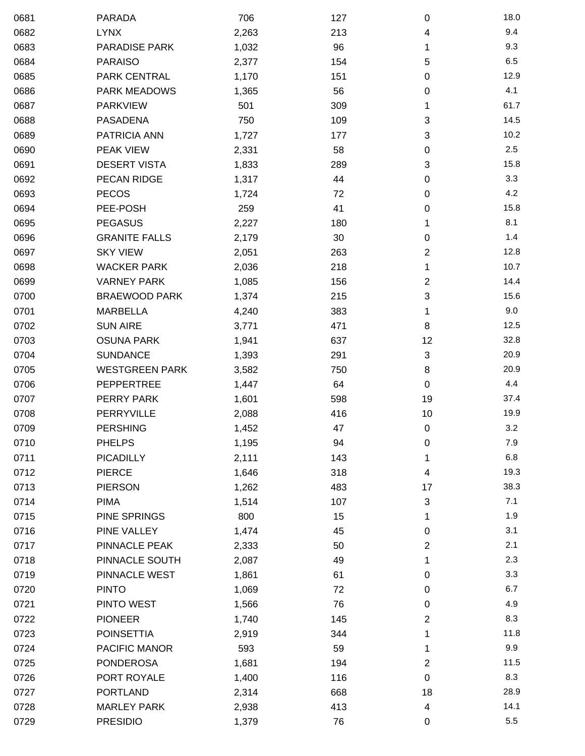| 0681 | <b>PARADA</b>         | 706   | 127 | 0              | 18.0 |
|------|-----------------------|-------|-----|----------------|------|
| 0682 | <b>LYNX</b>           | 2,263 | 213 | 4              | 9.4  |
| 0683 | <b>PARADISE PARK</b>  | 1,032 | 96  | 1              | 9.3  |
| 0684 | <b>PARAISO</b>        | 2,377 | 154 | 5              | 6.5  |
| 0685 | PARK CENTRAL          | 1,170 | 151 | 0              | 12.9 |
| 0686 | <b>PARK MEADOWS</b>   | 1,365 | 56  | 0              | 4.1  |
| 0687 | <b>PARKVIEW</b>       | 501   | 309 | 1              | 61.7 |
| 0688 | <b>PASADENA</b>       | 750   | 109 | 3              | 14.5 |
| 0689 | PATRICIA ANN          | 1,727 | 177 | 3              | 10.2 |
| 0690 | PEAK VIEW             | 2,331 | 58  | 0              | 2.5  |
| 0691 | <b>DESERT VISTA</b>   | 1,833 | 289 | 3              | 15.8 |
| 0692 | PECAN RIDGE           | 1,317 | 44  | 0              | 3.3  |
| 0693 | <b>PECOS</b>          | 1,724 | 72  | 0              | 4.2  |
| 0694 | PEE-POSH              | 259   | 41  | 0              | 15.8 |
| 0695 | <b>PEGASUS</b>        | 2,227 | 180 | 1              | 8.1  |
| 0696 | <b>GRANITE FALLS</b>  | 2,179 | 30  | 0              | 1.4  |
| 0697 | <b>SKY VIEW</b>       | 2,051 | 263 | 2              | 12.8 |
| 0698 | <b>WACKER PARK</b>    | 2,036 | 218 | 1              | 10.7 |
| 0699 | <b>VARNEY PARK</b>    | 1,085 | 156 | $\overline{c}$ | 14.4 |
| 0700 | <b>BRAEWOOD PARK</b>  | 1,374 | 215 | 3              | 15.6 |
| 0701 | <b>MARBELLA</b>       | 4,240 | 383 | 1              | 9.0  |
| 0702 | <b>SUN AIRE</b>       | 3,771 | 471 | 8              | 12.5 |
| 0703 | <b>OSUNA PARK</b>     | 1,941 | 637 | 12             | 32.8 |
| 0704 | <b>SUNDANCE</b>       | 1,393 | 291 | 3              | 20.9 |
| 0705 | <b>WESTGREEN PARK</b> | 3,582 | 750 | 8              | 20.9 |
| 0706 | <b>PEPPERTREE</b>     | 1,447 | 64  | 0              | 4.4  |
| 0707 | PERRY PARK            | 1,601 | 598 | 19             | 37.4 |
| 0708 | <b>PERRYVILLE</b>     | 2,088 | 416 | 10             | 19.9 |
| 0709 | <b>PERSHING</b>       | 1,452 | 47  | $\pmb{0}$      | 3.2  |
| 0710 | <b>PHELPS</b>         | 1,195 | 94  | 0              | 7.9  |
| 0711 | <b>PICADILLY</b>      | 2,111 | 143 | 1              | 6.8  |
| 0712 | <b>PIERCE</b>         | 1,646 | 318 | 4              | 19.3 |
| 0713 | <b>PIERSON</b>        | 1,262 | 483 | 17             | 38.3 |
| 0714 | <b>PIMA</b>           | 1,514 | 107 | 3              | 7.1  |
| 0715 | PINE SPRINGS          | 800   | 15  | 1              | 1.9  |
| 0716 | PINE VALLEY           | 1,474 | 45  | 0              | 3.1  |
| 0717 | PINNACLE PEAK         | 2,333 | 50  | 2              | 2.1  |
| 0718 | PINNACLE SOUTH        | 2,087 | 49  | 1              | 2.3  |
| 0719 | PINNACLE WEST         | 1,861 | 61  | 0              | 3.3  |
| 0720 | <b>PINTO</b>          | 1,069 | 72  | 0              | 6.7  |
| 0721 | PINTO WEST            | 1,566 | 76  | 0              | 4.9  |
| 0722 | <b>PIONEER</b>        | 1,740 | 145 | 2              | 8.3  |
| 0723 | <b>POINSETTIA</b>     | 2,919 | 344 | 1              | 11.8 |
| 0724 | PACIFIC MANOR         | 593   | 59  | 1              | 9.9  |
| 0725 | <b>PONDEROSA</b>      | 1,681 | 194 | 2              | 11.5 |
| 0726 | PORT ROYALE           | 1,400 | 116 | 0              | 8.3  |
| 0727 | <b>PORTLAND</b>       | 2,314 | 668 | 18             | 28.9 |
| 0728 | <b>MARLEY PARK</b>    | 2,938 | 413 | 4              | 14.1 |
| 0729 | <b>PRESIDIO</b>       | 1,379 | 76  | 0              | 5.5  |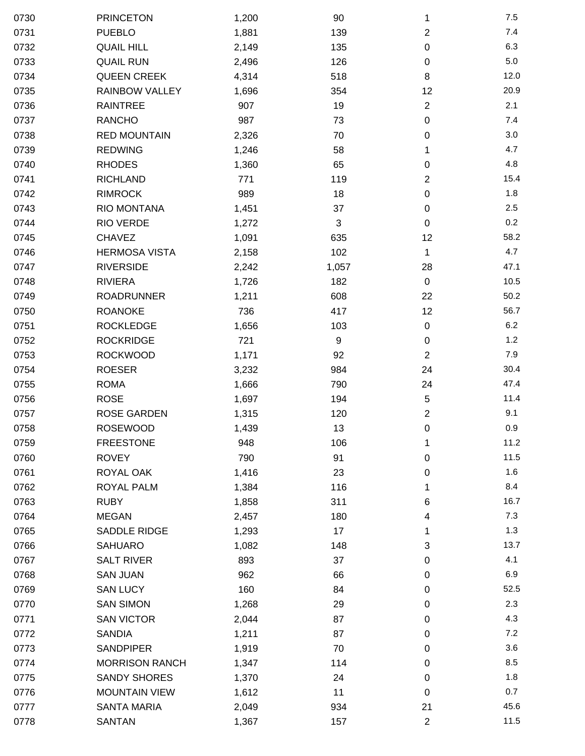| 0730 | <b>PRINCETON</b>      | 1,200 | 90    | 1              | 7.5  |
|------|-----------------------|-------|-------|----------------|------|
| 0731 | <b>PUEBLO</b>         | 1,881 | 139   | $\overline{2}$ | 7.4  |
| 0732 | <b>QUAIL HILL</b>     | 2,149 | 135   | 0              | 6.3  |
| 0733 | <b>QUAIL RUN</b>      | 2,496 | 126   | $\pmb{0}$      | 5.0  |
| 0734 | <b>QUEEN CREEK</b>    | 4,314 | 518   | 8              | 12.0 |
| 0735 | <b>RAINBOW VALLEY</b> | 1,696 | 354   | 12             | 20.9 |
| 0736 | <b>RAINTREE</b>       | 907   | 19    | $\overline{2}$ | 2.1  |
| 0737 | <b>RANCHO</b>         | 987   | 73    | 0              | 7.4  |
| 0738 | <b>RED MOUNTAIN</b>   | 2,326 | 70    | 0              | 3.0  |
| 0739 | <b>REDWING</b>        | 1,246 | 58    | 1              | 4.7  |
| 0740 | <b>RHODES</b>         | 1,360 | 65    | 0              | 4.8  |
| 0741 | <b>RICHLAND</b>       | 771   | 119   | $\overline{2}$ | 15.4 |
| 0742 | <b>RIMROCK</b>        | 989   | 18    | $\pmb{0}$      | 1.8  |
| 0743 | RIO MONTANA           | 1,451 | 37    | 0              | 2.5  |
| 0744 | RIO VERDE             | 1,272 | 3     | 0              | 0.2  |
| 0745 | <b>CHAVEZ</b>         | 1,091 | 635   | 12             | 58.2 |
| 0746 | <b>HERMOSA VISTA</b>  | 2,158 | 102   | 1              | 4.7  |
| 0747 | <b>RIVERSIDE</b>      | 2,242 | 1,057 | 28             | 47.1 |
| 0748 | <b>RIVIERA</b>        | 1,726 | 182   | $\mathbf 0$    | 10.5 |
| 0749 | <b>ROADRUNNER</b>     | 1,211 | 608   | 22             | 50.2 |
| 0750 | <b>ROANOKE</b>        | 736   | 417   | 12             | 56.7 |
| 0751 | <b>ROCKLEDGE</b>      | 1,656 | 103   | 0              | 6.2  |
| 0752 | <b>ROCKRIDGE</b>      | 721   | 9     | $\pmb{0}$      | 1.2  |
| 0753 | <b>ROCKWOOD</b>       | 1,171 | 92    | $\overline{2}$ | 7.9  |
| 0754 | <b>ROESER</b>         | 3,232 | 984   | 24             | 30.4 |
| 0755 | <b>ROMA</b>           | 1,666 | 790   | 24             | 47.4 |
| 0756 | <b>ROSE</b>           | 1,697 | 194   | 5              | 11.4 |
| 0757 | <b>ROSE GARDEN</b>    | 1,315 | 120   | $\overline{2}$ | 9.1  |
| 0758 | <b>ROSEWOOD</b>       | 1,439 | 13    | $\pmb{0}$      | 0.9  |
| 0759 | <b>FREESTONE</b>      | 948   | 106   | 1              | 11.2 |
| 0760 | <b>ROVEY</b>          | 790   | 91    | $\pmb{0}$      | 11.5 |
| 0761 | ROYAL OAK             | 1,416 | 23    | 0              | 1.6  |
| 0762 | ROYAL PALM            | 1,384 | 116   | 1              | 8.4  |
| 0763 | <b>RUBY</b>           | 1,858 | 311   | 6              | 16.7 |
| 0764 | <b>MEGAN</b>          | 2,457 | 180   | 4              | 7.3  |
| 0765 | <b>SADDLE RIDGE</b>   | 1,293 | 17    | 1              | 1.3  |
| 0766 | <b>SAHUARO</b>        | 1,082 | 148   | 3              | 13.7 |
| 0767 | <b>SALT RIVER</b>     | 893   | 37    | 0              | 4.1  |
| 0768 | <b>SAN JUAN</b>       | 962   | 66    | 0              | 6.9  |
| 0769 | <b>SAN LUCY</b>       | 160   | 84    | 0              | 52.5 |
| 0770 | <b>SAN SIMON</b>      | 1,268 | 29    | 0              | 2.3  |
| 0771 | <b>SAN VICTOR</b>     | 2,044 | 87    | 0              | 4.3  |
| 0772 | <b>SANDIA</b>         | 1,211 | 87    | 0              | 7.2  |
| 0773 | <b>SANDPIPER</b>      | 1,919 | 70    | 0              | 3.6  |
| 0774 | <b>MORRISON RANCH</b> | 1,347 | 114   | 0              | 8.5  |
| 0775 | <b>SANDY SHORES</b>   | 1,370 | 24    | 0              | 1.8  |
| 0776 | <b>MOUNTAIN VIEW</b>  | 1,612 | 11    | 0              | 0.7  |
| 0777 | <b>SANTA MARIA</b>    | 2,049 | 934   | 21             | 45.6 |
| 0778 | SANTAN                | 1,367 | 157   | $\overline{c}$ | 11.5 |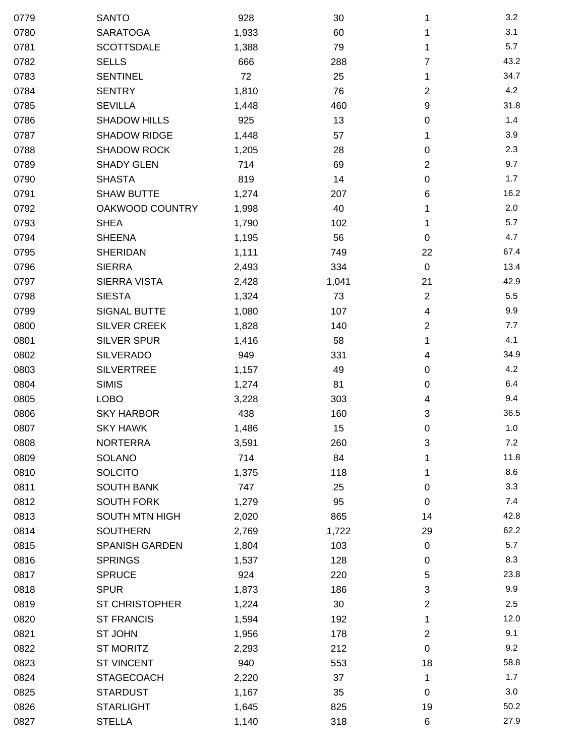| 0779 | <b>SANTO</b>          | 928   | 30    | 1              | 3.2  |
|------|-----------------------|-------|-------|----------------|------|
| 0780 | <b>SARATOGA</b>       | 1,933 | 60    | 1              | 3.1  |
| 0781 | <b>SCOTTSDALE</b>     | 1,388 | 79    | 1              | 5.7  |
| 0782 | <b>SELLS</b>          | 666   | 288   | 7              | 43.2 |
| 0783 | <b>SENTINEL</b>       | 72    | 25    | 1              | 34.7 |
| 0784 | <b>SENTRY</b>         | 1,810 | 76    | 2              | 4.2  |
| 0785 | <b>SEVILLA</b>        | 1,448 | 460   | 9              | 31.8 |
| 0786 | <b>SHADOW HILLS</b>   | 925   | 13    | 0              | 1.4  |
| 0787 | <b>SHADOW RIDGE</b>   | 1,448 | 57    | 1              | 3.9  |
| 0788 | <b>SHADOW ROCK</b>    | 1,205 | 28    | 0              | 2.3  |
| 0789 | <b>SHADY GLEN</b>     | 714   | 69    | $\overline{2}$ | 9.7  |
| 0790 | <b>SHASTA</b>         | 819   | 14    | 0              | 1.7  |
| 0791 | <b>SHAW BUTTE</b>     | 1,274 | 207   | 6              | 16.2 |
| 0792 | OAKWOOD COUNTRY       | 1,998 | 40    | 1              | 2.0  |
| 0793 | <b>SHEA</b>           | 1,790 | 102   | 1              | 5.7  |
| 0794 | <b>SHEENA</b>         | 1,195 | 56    | 0              | 4.7  |
| 0795 | <b>SHERIDAN</b>       | 1,111 | 749   | 22             | 67.4 |
| 0796 | <b>SIERRA</b>         | 2,493 | 334   | $\pmb{0}$      | 13.4 |
| 0797 | <b>SIERRA VISTA</b>   | 2,428 | 1,041 | 21             | 42.9 |
| 0798 | <b>SIESTA</b>         | 1,324 | 73    | $\overline{2}$ | 5.5  |
| 0799 | <b>SIGNAL BUTTE</b>   | 1,080 | 107   | 4              | 9.9  |
| 0800 | <b>SILVER CREEK</b>   | 1,828 | 140   | $\overline{2}$ | 7.7  |
| 0801 | <b>SILVER SPUR</b>    | 1,416 | 58    | 1              | 4.1  |
| 0802 | <b>SILVERADO</b>      | 949   | 331   | 4              | 34.9 |
| 0803 | <b>SILVERTREE</b>     | 1,157 | 49    | $\pmb{0}$      | 4.2  |
| 0804 | <b>SIMIS</b>          | 1,274 | 81    | 0              | 6.4  |
| 0805 | <b>LOBO</b>           | 3,228 | 303   | 4              | 9.4  |
| 0806 | <b>SKY HARBOR</b>     | 438   | 160   | 3              | 36.5 |
| 0807 | <b>SKY HAWK</b>       | 1,486 | 15    | 0              | 1.0  |
| 0808 | <b>NORTERRA</b>       | 3,591 | 260   | 3              | 7.2  |
| 0809 | SOLANO                | 714   | 84    |                | 11.8 |
| 0810 | <b>SOLCITO</b>        | 1,375 | 118   | 1              | 8.6  |
| 0811 | <b>SOUTH BANK</b>     | 747   | 25    | 0              | 3.3  |
| 0812 | <b>SOUTH FORK</b>     | 1,279 | 95    | 0              | 7.4  |
| 0813 | <b>SOUTH MTN HIGH</b> | 2,020 | 865   | 14             | 42.8 |
| 0814 | <b>SOUTHERN</b>       | 2,769 | 1,722 | 29             | 62.2 |
| 0815 | <b>SPANISH GARDEN</b> | 1,804 | 103   | $\mathbf 0$    | 5.7  |
| 0816 | <b>SPRINGS</b>        | 1,537 | 128   | 0              | 8.3  |
| 0817 | <b>SPRUCE</b>         | 924   | 220   | 5              | 23.8 |
| 0818 | <b>SPUR</b>           | 1,873 | 186   | 3              | 9.9  |
| 0819 | <b>ST CHRISTOPHER</b> | 1,224 | 30    | $\overline{2}$ | 2.5  |
| 0820 | <b>ST FRANCIS</b>     | 1,594 | 192   | 1              | 12.0 |
| 0821 | ST JOHN               | 1,956 | 178   | $\overline{2}$ | 9.1  |
| 0822 | <b>ST MORITZ</b>      | 2,293 | 212   | 0              | 9.2  |
| 0823 | <b>ST VINCENT</b>     | 940   | 553   | 18             | 58.8 |
| 0824 | <b>STAGECOACH</b>     | 2,220 | 37    | 1              | 1.7  |
| 0825 | <b>STARDUST</b>       | 1,167 | 35    | 0              | 3.0  |
| 0826 | <b>STARLIGHT</b>      | 1,645 | 825   | 19             | 50.2 |
| 0827 | <b>STELLA</b>         | 1,140 | 318   | 6              | 27.9 |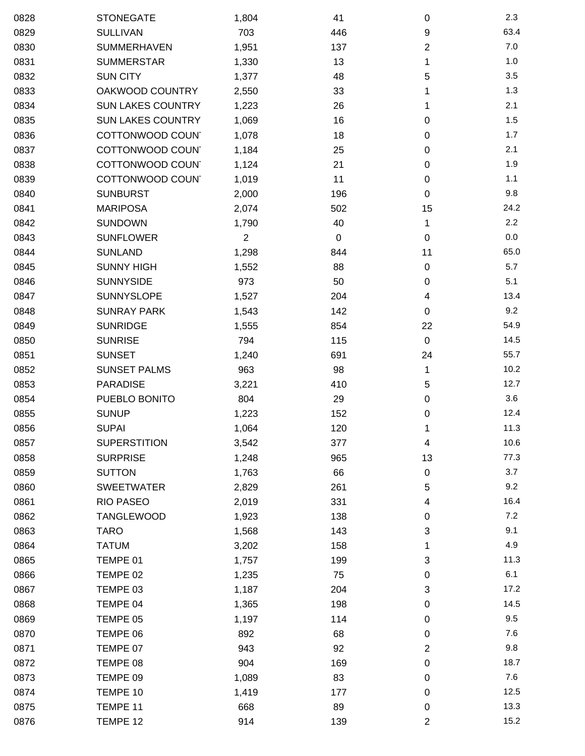| 0828 | <b>STONEGATE</b>         | 1,804          | 41  | $\mathbf 0$    | 2.3   |
|------|--------------------------|----------------|-----|----------------|-------|
| 0829 | <b>SULLIVAN</b>          | 703            | 446 | 9              | 63.4  |
| 0830 | <b>SUMMERHAVEN</b>       | 1,951          | 137 | $\overline{2}$ | $7.0$ |
| 0831 | <b>SUMMERSTAR</b>        | 1,330          | 13  | 1              | 1.0   |
| 0832 | <b>SUN CITY</b>          | 1,377          | 48  | 5              | 3.5   |
| 0833 | OAKWOOD COUNTRY          | 2,550          | 33  | 1              | 1.3   |
| 0834 | <b>SUN LAKES COUNTRY</b> | 1,223          | 26  | 1              | 2.1   |
| 0835 | <b>SUN LAKES COUNTRY</b> | 1,069          | 16  | 0              | 1.5   |
| 0836 | COTTONWOOD COUN          | 1,078          | 18  | 0              | 1.7   |
| 0837 | COTTONWOOD COUN'         | 1,184          | 25  | $\mathbf 0$    | 2.1   |
| 0838 | COTTONWOOD COUN'         | 1,124          | 21  | $\pmb{0}$      | 1.9   |
| 0839 | COTTONWOOD COUN'         | 1,019          | 11  | $\mathbf 0$    | 1.1   |
| 0840 | <b>SUNBURST</b>          | 2,000          | 196 | $\mathbf 0$    | 9.8   |
| 0841 | <b>MARIPOSA</b>          | 2,074          | 502 | 15             | 24.2  |
| 0842 | <b>SUNDOWN</b>           | 1,790          | 40  | 1              | 2.2   |
| 0843 | <b>SUNFLOWER</b>         | $\overline{2}$ | 0   | $\mathbf 0$    | 0.0   |
| 0844 | <b>SUNLAND</b>           | 1,298          | 844 | 11             | 65.0  |
| 0845 | <b>SUNNY HIGH</b>        | 1,552          | 88  | $\pmb{0}$      | 5.7   |
| 0846 | <b>SUNNYSIDE</b>         | 973            | 50  | $\pmb{0}$      | 5.1   |
| 0847 | SUNNYSLOPE               | 1,527          | 204 | 4              | 13.4  |
| 0848 | <b>SUNRAY PARK</b>       | 1,543          | 142 | 0              | 9.2   |
| 0849 | <b>SUNRIDGE</b>          | 1,555          | 854 | 22             | 54.9  |
| 0850 | <b>SUNRISE</b>           | 794            | 115 | $\pmb{0}$      | 14.5  |
| 0851 | <b>SUNSET</b>            | 1,240          | 691 | 24             | 55.7  |
| 0852 | <b>SUNSET PALMS</b>      | 963            | 98  | 1              | 10.2  |
| 0853 | <b>PARADISE</b>          | 3,221          | 410 | 5              | 12.7  |
| 0854 | PUEBLO BONITO            | 804            | 29  | $\pmb{0}$      | 3.6   |
| 0855 | <b>SUNUP</b>             | 1,223          | 152 | 0              | 12.4  |
| 0856 | <b>SUPAI</b>             | 1,064          | 120 | 1              | 11.3  |
| 0857 | <b>SUPERSTITION</b>      | 3,542          | 377 | 4              | 10.6  |
| 0858 | <b>SURPRISE</b>          | 1,248          | 965 | 13             | 77.3  |
| 0859 | <b>SUTTON</b>            | 1,763          | 66  | $\pmb{0}$      | 3.7   |
| 0860 | <b>SWEETWATER</b>        | 2,829          | 261 | 5              | 9.2   |
| 0861 | <b>RIO PASEO</b>         | 2,019          | 331 | 4              | 16.4  |
| 0862 | <b>TANGLEWOOD</b>        | 1,923          | 138 | 0              | 7.2   |
| 0863 | <b>TARO</b>              | 1,568          | 143 | 3              | 9.1   |
| 0864 | <b>TATUM</b>             | 3,202          | 158 | 1              | 4.9   |
| 0865 | TEMPE 01                 | 1,757          | 199 | 3              | 11.3  |
| 0866 | TEMPE 02                 | 1,235          | 75  | 0              | 6.1   |
| 0867 | TEMPE 03                 | 1,187          | 204 | 3              | 17.2  |
| 0868 | TEMPE 04                 | 1,365          | 198 | 0              | 14.5  |
| 0869 | TEMPE 05                 | 1,197          | 114 | $\mathbf 0$    | 9.5   |
| 0870 | TEMPE 06                 | 892            | 68  | $\mathbf 0$    | 7.6   |
| 0871 | TEMPE 07                 | 943            | 92  | $\overline{2}$ | 9.8   |
| 0872 | TEMPE 08                 | 904            | 169 | $\mathbf 0$    | 18.7  |
| 0873 | TEMPE 09                 | 1,089          | 83  | $\mathbf 0$    | 7.6   |
| 0874 | TEMPE 10                 | 1,419          | 177 | 0              | 12.5  |
| 0875 | TEMPE 11                 | 668            | 89  | $\pmb{0}$      | 13.3  |
| 0876 | TEMPE 12                 | 914            | 139 | $\overline{c}$ | 15.2  |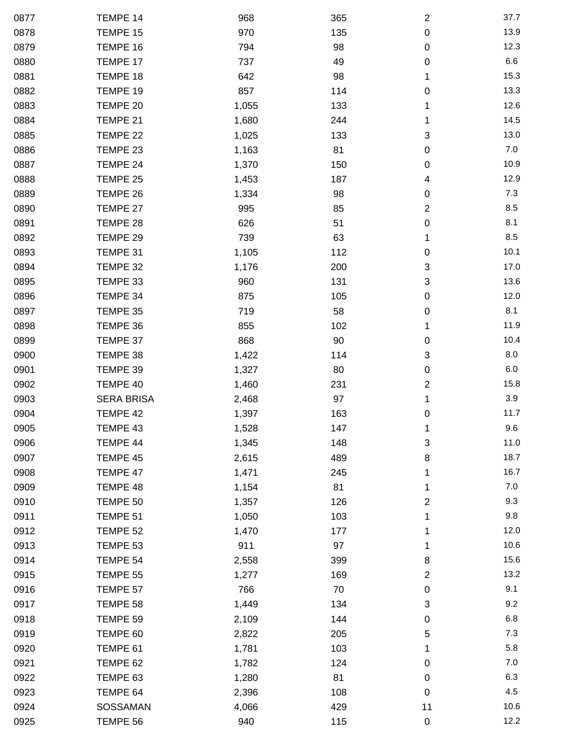| 0877 | TEMPE 14          | 968   | 365 | $\boldsymbol{2}$        | 37.7    |
|------|-------------------|-------|-----|-------------------------|---------|
| 0878 | TEMPE 15          | 970   | 135 | $\pmb{0}$               | 13.9    |
| 0879 | TEMPE 16          | 794   | 98  | 0                       | 12.3    |
| 0880 | TEMPE 17          | 737   | 49  | 0                       | 6.6     |
| 0881 | TEMPE 18          | 642   | 98  | 1                       | 15.3    |
| 0882 | TEMPE 19          | 857   | 114 | 0                       | 13.3    |
| 0883 | TEMPE 20          | 1,055 | 133 | 1                       | 12.6    |
| 0884 | TEMPE 21          | 1,680 | 244 | 1                       | 14.5    |
| 0885 | TEMPE 22          | 1,025 | 133 | 3                       | 13.0    |
| 0886 | TEMPE 23          | 1,163 | 81  | 0                       | $7.0\,$ |
| 0887 | TEMPE 24          | 1,370 | 150 | 0                       | 10.9    |
| 0888 | TEMPE 25          | 1,453 | 187 | 4                       | 12.9    |
| 0889 | TEMPE 26          | 1,334 | 98  | 0                       | 7.3     |
| 0890 | TEMPE 27          | 995   | 85  | $\overline{\mathbf{c}}$ | 8.5     |
| 0891 | TEMPE 28          | 626   | 51  | 0                       | 8.1     |
| 0892 | TEMPE 29          | 739   | 63  | 1                       | 8.5     |
| 0893 | TEMPE 31          | 1,105 | 112 | 0                       | 10.1    |
| 0894 | TEMPE 32          | 1,176 | 200 | 3                       | 17.0    |
| 0895 | TEMPE 33          | 960   | 131 | 3                       | 13.6    |
| 0896 | TEMPE 34          | 875   | 105 | 0                       | 12.0    |
| 0897 | TEMPE 35          | 719   | 58  | 0                       | 8.1     |
| 0898 | TEMPE 36          | 855   | 102 | 1                       | 11.9    |
| 0899 | TEMPE 37          | 868   | 90  | 0                       | 10.4    |
| 0900 | TEMPE 38          | 1,422 | 114 | 3                       | 8.0     |
| 0901 | TEMPE 39          | 1,327 | 80  | $\pmb{0}$               | 6.0     |
| 0902 | TEMPE 40          | 1,460 | 231 | 2                       | 15.8    |
| 0903 | <b>SERA BRISA</b> | 2,468 | 97  | 1                       | 3.9     |
| 0904 | TEMPE 42          | 1,397 | 163 | 0                       | 11.7    |
| 0905 | TEMPE 43          | 1,528 | 147 | 1                       | 9.6     |
| 0906 | TEMPE 44          | 1,345 | 148 | 3                       | 11.0    |
| 0907 | TEMPE 45          | 2,615 | 489 | 8                       | 18.7    |
| 0908 | TEMPE 47          | 1,471 | 245 | 1                       | 16.7    |
| 0909 | TEMPE 48          | 1,154 | 81  | 1                       | 7.0     |
| 0910 | TEMPE 50          | 1,357 | 126 | $\overline{\mathbf{c}}$ | 9.3     |
| 0911 | TEMPE 51          | 1,050 | 103 | 1                       | 9.8     |
| 0912 | TEMPE 52          | 1,470 | 177 | 1                       | 12.0    |
| 0913 | TEMPE 53          | 911   | 97  | 1                       | 10.6    |
| 0914 | TEMPE 54          | 2,558 | 399 | 8                       | 15.6    |
| 0915 | TEMPE 55          | 1,277 | 169 | 2                       | 13.2    |
| 0916 | TEMPE 57          | 766   | 70  | 0                       | 9.1     |
| 0917 | TEMPE 58          | 1,449 | 134 | 3                       | 9.2     |
| 0918 | TEMPE 59          | 2,109 | 144 | 0                       | 6.8     |
| 0919 | TEMPE 60          | 2,822 | 205 | 5                       | 7.3     |
| 0920 | TEMPE 61          | 1,781 | 103 | 1                       | 5.8     |
| 0921 | TEMPE 62          | 1,782 | 124 | 0                       | 7.0     |
| 0922 | TEMPE 63          | 1,280 | 81  | 0                       | 6.3     |
| 0923 | TEMPE 64          | 2,396 | 108 | 0                       | 4.5     |
| 0924 | SOSSAMAN          | 4,066 | 429 | 11                      | 10.6    |
| 0925 | TEMPE 56          | 940   | 115 | 0                       | 12.2    |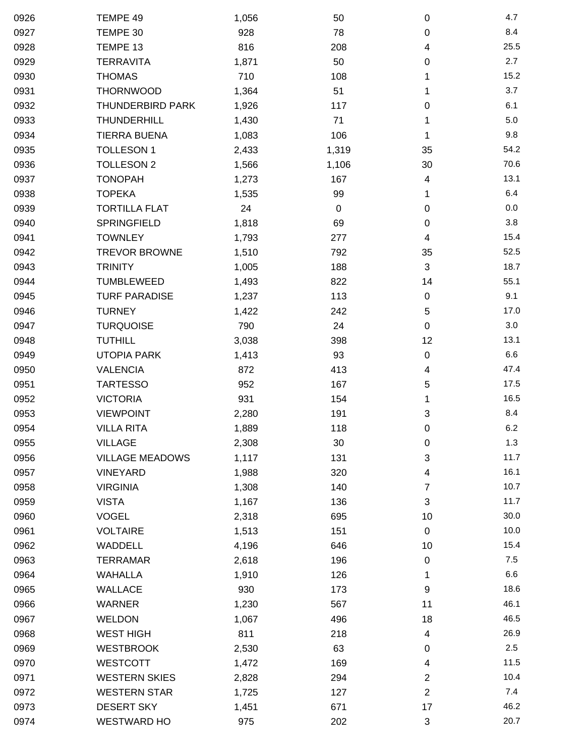| 0926 | TEMPE 49                | 1,056 | 50        | $\mathbf 0$               | 4.7  |
|------|-------------------------|-------|-----------|---------------------------|------|
| 0927 | TEMPE 30                | 928   | 78        | 0                         | 8.4  |
| 0928 | TEMPE 13                | 816   | 208       | 4                         | 25.5 |
| 0929 | <b>TERRAVITA</b>        | 1,871 | 50        | 0                         | 2.7  |
| 0930 | <b>THOMAS</b>           | 710   | 108       | 1                         | 15.2 |
| 0931 | <b>THORNWOOD</b>        | 1,364 | 51        | 1                         | 3.7  |
| 0932 | <b>THUNDERBIRD PARK</b> | 1,926 | 117       | 0                         | 6.1  |
| 0933 | <b>THUNDERHILL</b>      | 1,430 | 71        | 1                         | 5.0  |
| 0934 | <b>TIERRA BUENA</b>     | 1,083 | 106       | 1                         | 9.8  |
| 0935 | <b>TOLLESON 1</b>       | 2,433 | 1,319     | 35                        | 54.2 |
| 0936 | <b>TOLLESON 2</b>       | 1,566 | 1,106     | 30                        | 70.6 |
| 0937 | <b>TONOPAH</b>          | 1,273 | 167       | 4                         | 13.1 |
| 0938 | <b>TOPEKA</b>           | 1,535 | 99        | 1                         | 6.4  |
| 0939 | <b>TORTILLA FLAT</b>    | 24    | $\pmb{0}$ | 0                         | 0.0  |
| 0940 | <b>SPRINGFIELD</b>      | 1,818 | 69        | 0                         | 3.8  |
| 0941 | <b>TOWNLEY</b>          | 1,793 | 277       | 4                         | 15.4 |
| 0942 | <b>TREVOR BROWNE</b>    | 1,510 | 792       | 35                        | 52.5 |
| 0943 | <b>TRINITY</b>          | 1,005 | 188       | $\mathbf{3}$              | 18.7 |
| 0944 | TUMBLEWEED              | 1,493 | 822       | 14                        | 55.1 |
| 0945 | <b>TURF PARADISE</b>    | 1,237 | 113       | $\pmb{0}$                 | 9.1  |
| 0946 | <b>TURNEY</b>           | 1,422 | 242       | 5                         | 17.0 |
| 0947 | <b>TURQUOISE</b>        | 790   | 24        | 0                         | 3.0  |
| 0948 | <b>TUTHILL</b>          | 3,038 | 398       | 12                        | 13.1 |
| 0949 | <b>UTOPIA PARK</b>      | 1,413 | 93        | $\pmb{0}$                 | 6.6  |
| 0950 | <b>VALENCIA</b>         | 872   | 413       | 4                         | 47.4 |
| 0951 | <b>TARTESSO</b>         | 952   | 167       | 5                         | 17.5 |
| 0952 | <b>VICTORIA</b>         | 931   | 154       | 1                         | 16.5 |
| 0953 | <b>VIEWPOINT</b>        | 2,280 | 191       | 3                         | 8.4  |
| 0954 | <b>VILLA RITA</b>       | 1,889 | 118       | $\pmb{0}$                 | 6.2  |
| 0955 | <b>VILLAGE</b>          | 2,308 | 30        | 0                         | 1.3  |
| 0956 | <b>VILLAGE MEADOWS</b>  | 1,117 | 131       | 3                         | 11.7 |
| 0957 | <b>VINEYARD</b>         | 1,988 | 320       | 4                         | 16.1 |
| 0958 | <b>VIRGINIA</b>         | 1,308 | 140       | 7                         | 10.7 |
| 0959 | <b>VISTA</b>            | 1,167 | 136       | 3                         | 11.7 |
| 0960 | <b>VOGEL</b>            | 2,318 | 695       | 10                        | 30.0 |
| 0961 | <b>VOLTAIRE</b>         | 1,513 | 151       | $\pmb{0}$                 | 10.0 |
| 0962 | WADDELL                 | 4,196 | 646       | 10                        | 15.4 |
| 0963 | <b>TERRAMAR</b>         | 2,618 | 196       | 0                         | 7.5  |
| 0964 | <b>WAHALLA</b>          | 1,910 | 126       | 1                         | 6.6  |
| 0965 | <b>WALLACE</b>          | 930   | 173       | 9                         | 18.6 |
| 0966 | <b>WARNER</b>           | 1,230 | 567       | 11                        | 46.1 |
| 0967 | <b>WELDON</b>           | 1,067 | 496       | 18                        | 46.5 |
| 0968 | <b>WEST HIGH</b>        | 811   | 218       | 4                         | 26.9 |
| 0969 | <b>WESTBROOK</b>        | 2,530 | 63        | 0                         | 2.5  |
| 0970 | <b>WESTCOTT</b>         | 1,472 | 169       | 4                         | 11.5 |
| 0971 | <b>WESTERN SKIES</b>    | 2,828 | 294       | 2                         | 10.4 |
| 0972 | <b>WESTERN STAR</b>     | 1,725 | 127       | $\overline{2}$            | 7.4  |
| 0973 | <b>DESERT SKY</b>       | 1,451 | 671       | 17                        | 46.2 |
| 0974 | <b>WESTWARD HO</b>      | 975   | 202       | $\ensuremath{\mathsf{3}}$ | 20.7 |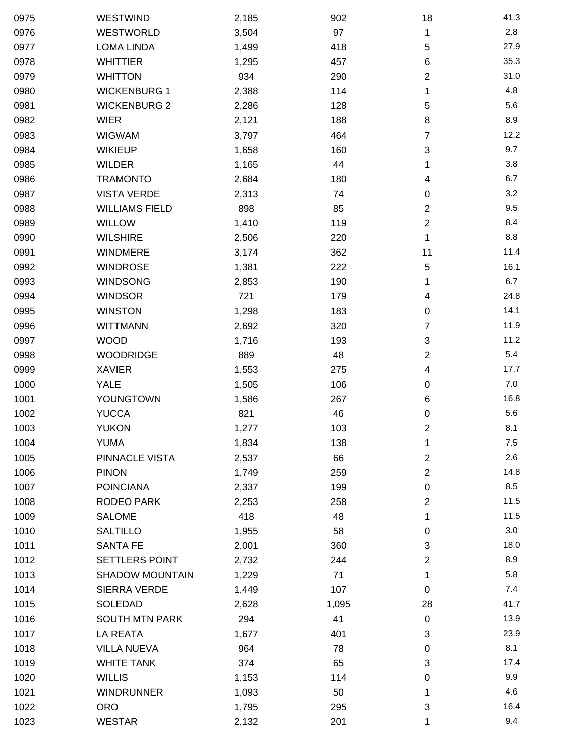| 0975 | WESTWIND               | 2,185 | 902   | 18               | 41.3    |
|------|------------------------|-------|-------|------------------|---------|
| 0976 | WESTWORLD              | 3,504 | 97    | 1                | 2.8     |
| 0977 | <b>LOMA LINDA</b>      | 1,499 | 418   | 5                | 27.9    |
| 0978 | <b>WHITTIER</b>        | 1,295 | 457   | 6                | 35.3    |
| 0979 | <b>WHITTON</b>         | 934   | 290   | $\overline{2}$   | 31.0    |
| 0980 | <b>WICKENBURG 1</b>    | 2,388 | 114   | 1                | 4.8     |
| 0981 | <b>WICKENBURG 2</b>    | 2,286 | 128   | 5                | 5.6     |
| 0982 | <b>WIER</b>            | 2,121 | 188   | 8                | 8.9     |
| 0983 | <b>WIGWAM</b>          | 3,797 | 464   | 7                | 12.2    |
| 0984 | <b>WIKIEUP</b>         | 1,658 | 160   | 3                | 9.7     |
| 0985 | <b>WILDER</b>          | 1,165 | 44    | 1                | 3.8     |
| 0986 | <b>TRAMONTO</b>        | 2,684 | 180   | 4                | 6.7     |
| 0987 | <b>VISTA VERDE</b>     | 2,313 | 74    | 0                | 3.2     |
| 0988 | <b>WILLIAMS FIELD</b>  | 898   | 85    | $\overline{c}$   | 9.5     |
| 0989 | <b>WILLOW</b>          | 1,410 | 119   | 2                | 8.4     |
| 0990 | <b>WILSHIRE</b>        | 2,506 | 220   | 1                | 8.8     |
| 0991 | <b>WINDMERE</b>        | 3,174 | 362   | 11               | 11.4    |
| 0992 | <b>WINDROSE</b>        | 1,381 | 222   | 5                | 16.1    |
| 0993 | <b>WINDSONG</b>        | 2,853 | 190   | 1                | 6.7     |
| 0994 | <b>WINDSOR</b>         | 721   | 179   | 4                | 24.8    |
| 0995 | <b>WINSTON</b>         | 1,298 | 183   | 0                | 14.1    |
| 0996 | <b>WITTMANN</b>        | 2,692 | 320   | 7                | 11.9    |
| 0997 | <b>WOOD</b>            | 1,716 | 193   | 3                | 11.2    |
| 0998 | <b>WOODRIDGE</b>       | 889   | 48    | 2                | 5.4     |
| 0999 | <b>XAVIER</b>          | 1,553 | 275   | 4                | 17.7    |
| 1000 | <b>YALE</b>            | 1,505 | 106   | 0                | 7.0     |
| 1001 | YOUNGTOWN              | 1,586 | 267   | 6                | 16.8    |
| 1002 | <b>YUCCA</b>           | 821   | 46    | 0                | 5.6     |
| 1003 | <b>YUKON</b>           | 1,277 | 103   | $\boldsymbol{2}$ | 8.1     |
| 1004 | <b>YUMA</b>            | 1,834 | 138   | 1                | $7.5\,$ |
| 1005 | PINNACLE VISTA         | 2,537 | 66    | $\mathbf{2}$     | 2.6     |
| 1006 | <b>PINON</b>           | 1,749 | 259   | 2                | 14.8    |
| 1007 | <b>POINCIANA</b>       | 2,337 | 199   | 0                | 8.5     |
| 1008 | <b>RODEO PARK</b>      | 2,253 | 258   | 2                | 11.5    |
| 1009 | <b>SALOME</b>          | 418   | 48    | 1                | 11.5    |
| 1010 | <b>SALTILLO</b>        | 1,955 | 58    | 0                | 3.0     |
| 1011 | <b>SANTA FE</b>        | 2,001 | 360   | 3                | 18.0    |
| 1012 | SETTLERS POINT         | 2,732 | 244   | 2                | 8.9     |
| 1013 | <b>SHADOW MOUNTAIN</b> | 1,229 | 71    | 1                | 5.8     |
| 1014 | SIERRA VERDE           | 1,449 | 107   | $\mathbf 0$      | 7.4     |
| 1015 | SOLEDAD                | 2,628 | 1,095 | 28               | 41.7    |
| 1016 | <b>SOUTH MTN PARK</b>  | 294   | 41    | $\mathbf 0$      | 13.9    |
| 1017 | LA REATA               | 1,677 | 401   | 3                | 23.9    |
| 1018 | <b>VILLA NUEVA</b>     | 964   | 78    | 0                | 8.1     |
| 1019 | <b>WHITE TANK</b>      | 374   | 65    | 3                | 17.4    |
| 1020 | <b>WILLIS</b>          | 1,153 | 114   | 0                | 9.9     |
| 1021 | <b>WINDRUNNER</b>      | 1,093 | 50    | 1                | 4.6     |
| 1022 | <b>ORO</b>             | 1,795 | 295   | 3                | 16.4    |
| 1023 | <b>WESTAR</b>          | 2,132 | 201   | 1                | 9.4     |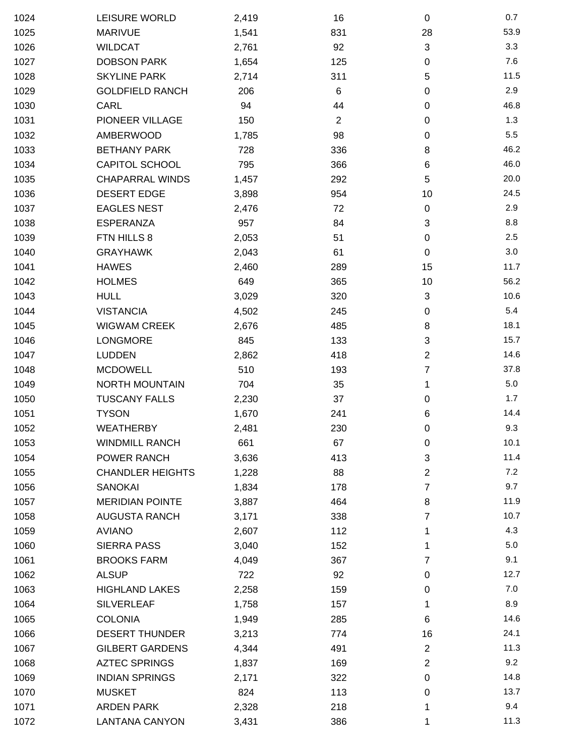| 1024 | LEISURE WORLD           | 2,419 | 16             | $\mathbf 0$    | 0.7  |
|------|-------------------------|-------|----------------|----------------|------|
| 1025 | <b>MARIVUE</b>          | 1,541 | 831            | 28             | 53.9 |
| 1026 | <b>WILDCAT</b>          | 2,761 | 92             | 3              | 3.3  |
| 1027 | <b>DOBSON PARK</b>      | 1,654 | 125            | 0              | 7.6  |
| 1028 | <b>SKYLINE PARK</b>     | 2,714 | 311            | 5              | 11.5 |
| 1029 | <b>GOLDFIELD RANCH</b>  | 206   | 6              | $\pmb{0}$      | 2.9  |
| 1030 | CARL                    | 94    | 44             | 0              | 46.8 |
| 1031 | PIONEER VILLAGE         | 150   | $\overline{2}$ | 0              | 1.3  |
| 1032 | AMBERWOOD               | 1,785 | 98             | 0              | 5.5  |
| 1033 | <b>BETHANY PARK</b>     | 728   | 336            | 8              | 46.2 |
| 1034 | <b>CAPITOL SCHOOL</b>   | 795   | 366            | 6              | 46.0 |
| 1035 | <b>CHAPARRAL WINDS</b>  | 1,457 | 292            | 5              | 20.0 |
| 1036 | <b>DESERT EDGE</b>      | 3,898 | 954            | 10             | 24.5 |
| 1037 | <b>EAGLES NEST</b>      | 2,476 | 72             | 0              | 2.9  |
| 1038 | <b>ESPERANZA</b>        | 957   | 84             | 3              | 8.8  |
| 1039 | FTN HILLS 8             | 2,053 | 51             | 0              | 2.5  |
| 1040 | <b>GRAYHAWK</b>         | 2,043 | 61             | 0              | 3.0  |
| 1041 | <b>HAWES</b>            | 2,460 | 289            | 15             | 11.7 |
| 1042 | <b>HOLMES</b>           | 649   | 365            | 10             | 56.2 |
| 1043 | <b>HULL</b>             | 3,029 | 320            | 3              | 10.6 |
| 1044 | <b>VISTANCIA</b>        | 4,502 | 245            | 0              | 5.4  |
| 1045 | <b>WIGWAM CREEK</b>     | 2,676 | 485            | 8              | 18.1 |
| 1046 | <b>LONGMORE</b>         | 845   | 133            | 3              | 15.7 |
| 1047 | <b>LUDDEN</b>           | 2,862 | 418            | $\overline{2}$ | 14.6 |
| 1048 | <b>MCDOWELL</b>         | 510   | 193            | 7              | 37.8 |
| 1049 | <b>NORTH MOUNTAIN</b>   | 704   | 35             | 1              | 5.0  |
| 1050 | <b>TUSCANY FALLS</b>    | 2,230 | 37             | 0              | 1.7  |
| 1051 | <b>TYSON</b>            | 1,670 | 241            | 6              | 14.4 |
| 1052 | <b>WEATHERBY</b>        | 2,481 | 230            | $\pmb{0}$      | 9.3  |
| 1053 | <b>WINDMILL RANCH</b>   | 661   | 67             | 0              | 10.1 |
| 1054 | POWER RANCH             | 3,636 | 413            | $\mathbf{3}$   | 11.4 |
| 1055 | <b>CHANDLER HEIGHTS</b> | 1,228 | 88             | $\overline{2}$ | 7.2  |
| 1056 | SANOKAI                 | 1,834 | 178            | 7              | 9.7  |
| 1057 | <b>MERIDIAN POINTE</b>  | 3,887 | 464            | 8              | 11.9 |
| 1058 | <b>AUGUSTA RANCH</b>    | 3,171 | 338            | 7              | 10.7 |
| 1059 | <b>AVIANO</b>           | 2,607 | 112            | 1              | 4.3  |
| 1060 | <b>SIERRA PASS</b>      | 3,040 | 152            | 1              | 5.0  |
| 1061 | <b>BROOKS FARM</b>      | 4,049 | 367            | 7              | 9.1  |
| 1062 | <b>ALSUP</b>            | 722   | 92             | 0              | 12.7 |
| 1063 | <b>HIGHLAND LAKES</b>   | 2,258 | 159            | 0              | 7.0  |
| 1064 | <b>SILVERLEAF</b>       | 1,758 | 157            | 1              | 8.9  |
| 1065 | <b>COLONIA</b>          | 1,949 | 285            | 6              | 14.6 |
| 1066 | <b>DESERT THUNDER</b>   | 3,213 | 774            | 16             | 24.1 |
| 1067 | <b>GILBERT GARDENS</b>  | 4,344 | 491            | $\overline{2}$ | 11.3 |
| 1068 | <b>AZTEC SPRINGS</b>    | 1,837 | 169            | $\overline{2}$ | 9.2  |
| 1069 | <b>INDIAN SPRINGS</b>   | 2,171 | 322            | 0              | 14.8 |
| 1070 | <b>MUSKET</b>           | 824   | 113            | 0              | 13.7 |
| 1071 | <b>ARDEN PARK</b>       | 2,328 | 218            | 1              | 9.4  |
| 1072 | <b>LANTANA CANYON</b>   | 3,431 | 386            | 1              | 11.3 |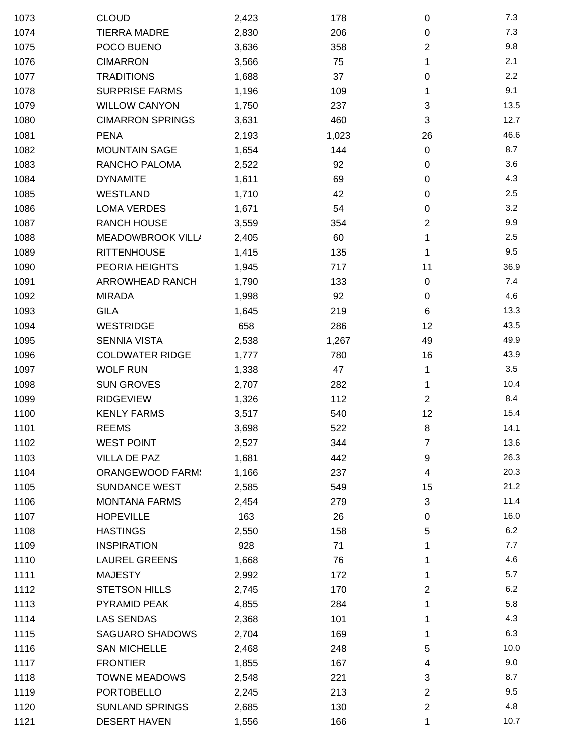| 1073 | <b>CLOUD</b>            | 2,423 | 178   | $\pmb{0}$      | 7.3  |
|------|-------------------------|-------|-------|----------------|------|
| 1074 | <b>TIERRA MADRE</b>     | 2,830 | 206   | $\pmb{0}$      | 7.3  |
| 1075 | POCO BUENO              | 3,636 | 358   | $\overline{c}$ | 9.8  |
| 1076 | <b>CIMARRON</b>         | 3,566 | 75    | 1              | 2.1  |
| 1077 | <b>TRADITIONS</b>       | 1,688 | 37    | 0              | 2.2  |
| 1078 | <b>SURPRISE FARMS</b>   | 1,196 | 109   | 1              | 9.1  |
| 1079 | <b>WILLOW CANYON</b>    | 1,750 | 237   | 3              | 13.5 |
| 1080 | <b>CIMARRON SPRINGS</b> | 3,631 | 460   | 3              | 12.7 |
| 1081 | <b>PENA</b>             | 2,193 | 1,023 | 26             | 46.6 |
| 1082 | <b>MOUNTAIN SAGE</b>    | 1,654 | 144   | $\mathbf 0$    | 8.7  |
| 1083 | RANCHO PALOMA           | 2,522 | 92    | $\pmb{0}$      | 3.6  |
| 1084 | <b>DYNAMITE</b>         | 1,611 | 69    | $\pmb{0}$      | 4.3  |
| 1085 | <b>WESTLAND</b>         | 1,710 | 42    | 0              | 2.5  |
| 1086 | <b>LOMA VERDES</b>      | 1,671 | 54    | 0              | 3.2  |
| 1087 | <b>RANCH HOUSE</b>      | 3,559 | 354   | $\overline{c}$ | 9.9  |
| 1088 | MEADOWBROOK VILL/       | 2,405 | 60    | 1              | 2.5  |
| 1089 | <b>RITTENHOUSE</b>      | 1,415 | 135   | 1              | 9.5  |
| 1090 | PEORIA HEIGHTS          | 1,945 | 717   | 11             | 36.9 |
| 1091 | <b>ARROWHEAD RANCH</b>  | 1,790 | 133   | $\pmb{0}$      | 7.4  |
| 1092 | <b>MIRADA</b>           | 1,998 | 92    | $\pmb{0}$      | 4.6  |
| 1093 | <b>GILA</b>             | 1,645 | 219   | 6              | 13.3 |
| 1094 | <b>WESTRIDGE</b>        | 658   | 286   | 12             | 43.5 |
| 1095 | <b>SENNIA VISTA</b>     | 2,538 | 1,267 | 49             | 49.9 |
| 1096 | <b>COLDWATER RIDGE</b>  | 1,777 | 780   | 16             | 43.9 |
| 1097 | <b>WOLF RUN</b>         | 1,338 | 47    | 1              | 3.5  |
| 1098 | <b>SUN GROVES</b>       | 2,707 | 282   | 1              | 10.4 |
| 1099 | <b>RIDGEVIEW</b>        | 1,326 | 112   | $\overline{2}$ | 8.4  |
| 1100 | <b>KENLY FARMS</b>      | 3,517 | 540   | 12             | 15.4 |
| 1101 | <b>REEMS</b>            | 3,698 | 522   | 8              | 14.1 |
| 1102 | <b>WEST POINT</b>       | 2,527 | 344   | 7              | 13.6 |
| 1103 | VILLA DE PAZ            | 1,681 | 442   | 9              | 26.3 |
| 1104 | <b>ORANGEWOOD FARM:</b> | 1,166 | 237   | 4              | 20.3 |
| 1105 | <b>SUNDANCE WEST</b>    | 2,585 | 549   | 15             | 21.2 |
| 1106 | <b>MONTANA FARMS</b>    | 2,454 | 279   | 3              | 11.4 |
| 1107 | <b>HOPEVILLE</b>        | 163   | 26    | 0              | 16.0 |
| 1108 | <b>HASTINGS</b>         | 2,550 | 158   | 5              | 6.2  |
| 1109 | <b>INSPIRATION</b>      | 928   | 71    |                | 7.7  |
| 1110 | <b>LAUREL GREENS</b>    | 1,668 | 76    | 1              | 4.6  |
| 1111 | <b>MAJESTY</b>          | 2,992 | 172   | 1              | 5.7  |
| 1112 | <b>STETSON HILLS</b>    | 2,745 | 170   | $\overline{2}$ | 6.2  |
| 1113 | PYRAMID PEAK            | 4,855 | 284   |                | 5.8  |
| 1114 | <b>LAS SENDAS</b>       | 2,368 | 101   | 1              | 4.3  |
| 1115 | <b>SAGUARO SHADOWS</b>  | 2,704 | 169   | 1              | 6.3  |
| 1116 | <b>SAN MICHELLE</b>     | 2,468 | 248   | 5              | 10.0 |
| 1117 | <b>FRONTIER</b>         | 1,855 | 167   | 4              | 9.0  |
| 1118 | <b>TOWNE MEADOWS</b>    | 2,548 | 221   | 3              | 8.7  |
| 1119 | <b>PORTOBELLO</b>       | 2,245 | 213   | $\overline{2}$ | 9.5  |
| 1120 | <b>SUNLAND SPRINGS</b>  | 2,685 | 130   | $\overline{c}$ | 4.8  |
| 1121 | <b>DESERT HAVEN</b>     | 1,556 | 166   | 1              | 10.7 |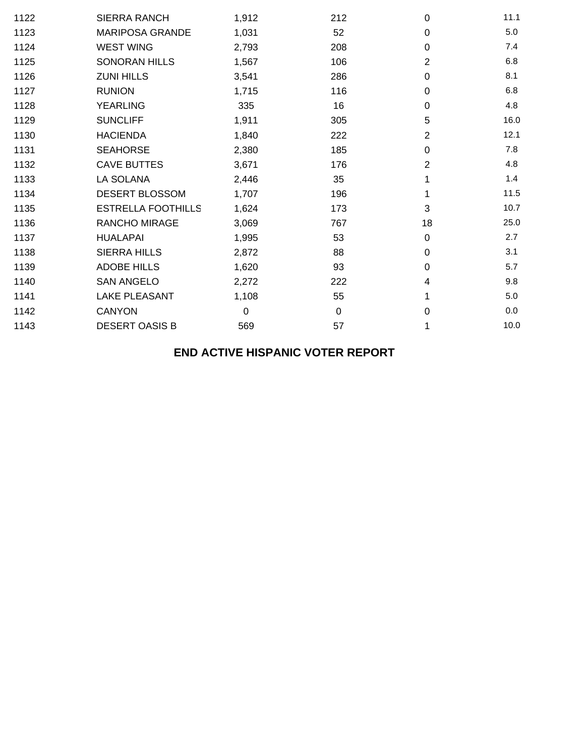| 1122 | <b>SIERRA RANCH</b>       | 1,912            | 212 | 0              | 11.1 |
|------|---------------------------|------------------|-----|----------------|------|
| 1123 | <b>MARIPOSA GRANDE</b>    | 1,031            | 52  | 0              | 5.0  |
| 1124 | <b>WEST WING</b>          | 2,793            | 208 | 0              | 7.4  |
| 1125 | <b>SONORAN HILLS</b>      | 1,567            | 106 | 2              | 6.8  |
| 1126 | <b>ZUNI HILLS</b>         | 3,541            | 286 | 0              | 8.1  |
| 1127 | <b>RUNION</b>             | 1,715            | 116 | 0              | 6.8  |
| 1128 | <b>YEARLING</b>           | 335              | 16  | 0              | 4.8  |
| 1129 | <b>SUNCLIFF</b>           | 1,911            | 305 | 5              | 16.0 |
| 1130 | <b>HACIENDA</b>           | 1,840            | 222 | $\overline{2}$ | 12.1 |
| 1131 | <b>SEAHORSE</b>           | 2,380            | 185 | 0              | 7.8  |
| 1132 | <b>CAVE BUTTES</b>        | 3,671            | 176 | $\overline{2}$ | 4.8  |
| 1133 | LA SOLANA                 | 2,446            | 35  |                | 1.4  |
| 1134 | DESERT BLOSSOM            | 1,707            | 196 | 1              | 11.5 |
| 1135 | <b>ESTRELLA FOOTHILLS</b> | 1,624            | 173 | 3              | 10.7 |
| 1136 | RANCHO MIRAGE             | 3,069            | 767 | 18             | 25.0 |
| 1137 | <b>HUALAPAI</b>           | 1,995            | 53  | $\mathbf 0$    | 2.7  |
| 1138 | <b>SIERRA HILLS</b>       | 2,872            | 88  | 0              | 3.1  |
| 1139 | <b>ADOBE HILLS</b>        | 1,620            | 93  | 0              | 5.7  |
| 1140 | <b>SAN ANGELO</b>         | 2,272            | 222 | 4              | 9.8  |
| 1141 | <b>LAKE PLEASANT</b>      | 1,108            | 55  |                | 5.0  |
| 1142 | <b>CANYON</b>             | $\boldsymbol{0}$ | 0   | 0              | 0.0  |
| 1143 | <b>DESERT OASIS B</b>     | 569              | 57  | 1              | 10.0 |

## **END ACTIVE HISPANIC VOTER REPORT**